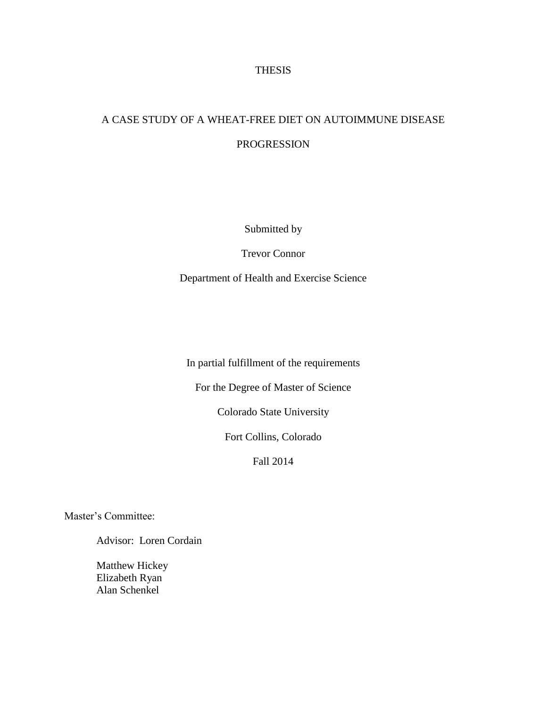# **THESIS**

# A CASE STUDY OF A WHEAT-FREE DIET ON AUTOIMMUNE DISEASE PROGRESSION

Submitted by

Trevor Connor

Department of Health and Exercise Science

In partial fulfillment of the requirements

For the Degree of Master of Science

Colorado State University

Fort Collins, Colorado

Fall 2014

Master's Committee:

Advisor: Loren Cordain

Matthew Hickey Elizabeth Ryan Alan Schenkel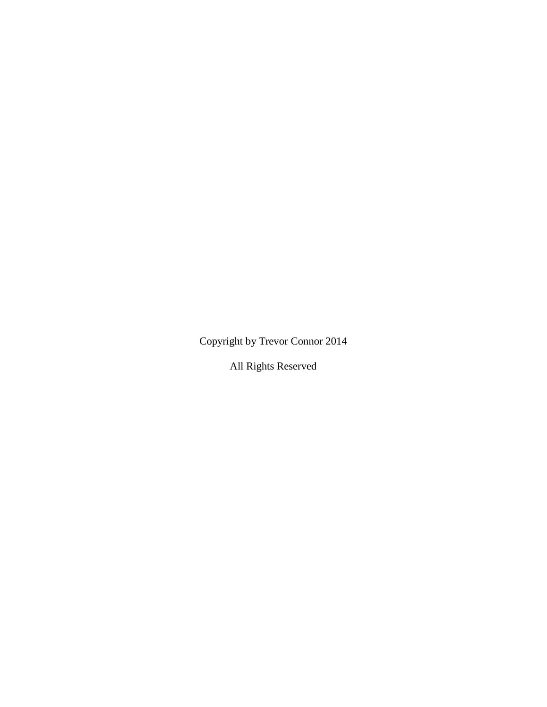Copyright by Trevor Connor 2014

All Rights Reserved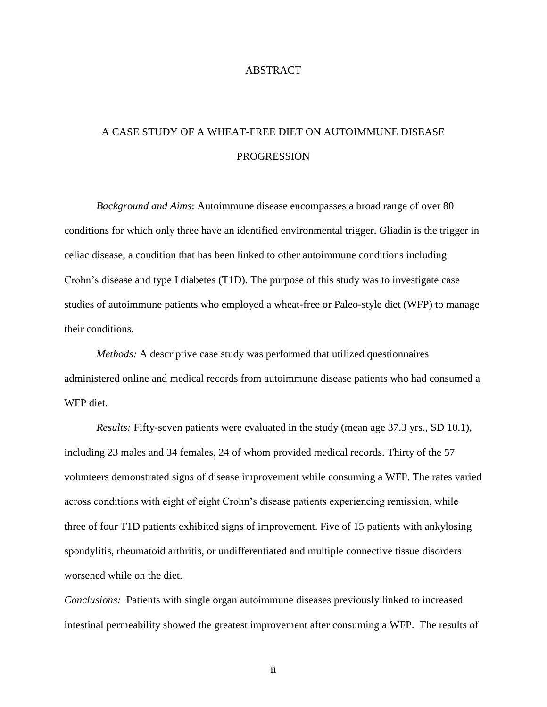# ABSTRACT

# A CASE STUDY OF A WHEAT-FREE DIET ON AUTOIMMUNE DISEASE PROGRESSION

*Background and Aims*: Autoimmune disease encompasses a broad range of over 80 conditions for which only three have an identified environmental trigger. Gliadin is the trigger in celiac disease, a condition that has been linked to other autoimmune conditions including Crohn's disease and type I diabetes (T1D). The purpose of this study was to investigate case studies of autoimmune patients who employed a wheat-free or Paleo-style diet (WFP) to manage their conditions.

*Methods:* A descriptive case study was performed that utilized questionnaires administered online and medical records from autoimmune disease patients who had consumed a WFP diet.

*Results:* Fifty-seven patients were evaluated in the study (mean age 37.3 yrs., SD 10.1), including 23 males and 34 females, 24 of whom provided medical records. Thirty of the 57 volunteers demonstrated signs of disease improvement while consuming a WFP. The rates varied across conditions with eight of eight Crohn's disease patients experiencing remission, while three of four T1D patients exhibited signs of improvement. Five of 15 patients with ankylosing spondylitis, rheumatoid arthritis, or undifferentiated and multiple connective tissue disorders worsened while on the diet.

*Conclusions:* Patients with single organ autoimmune diseases previously linked to increased intestinal permeability showed the greatest improvement after consuming a WFP. The results of

ii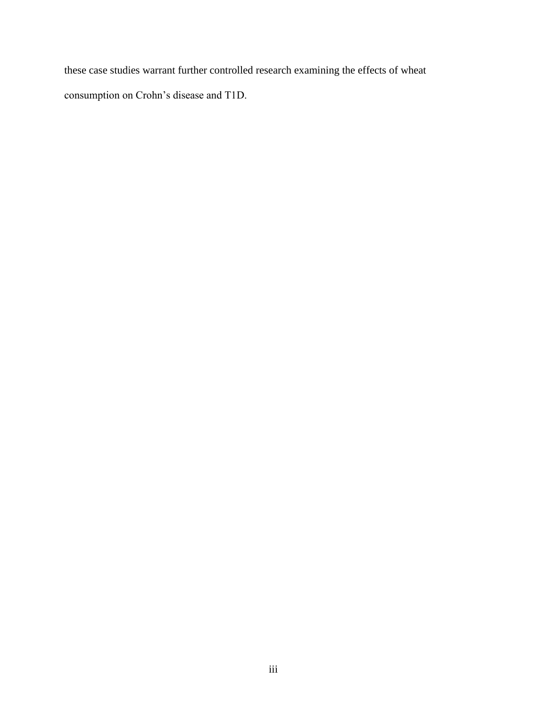these case studies warrant further controlled research examining the effects of wheat consumption on Crohn's disease and T1D.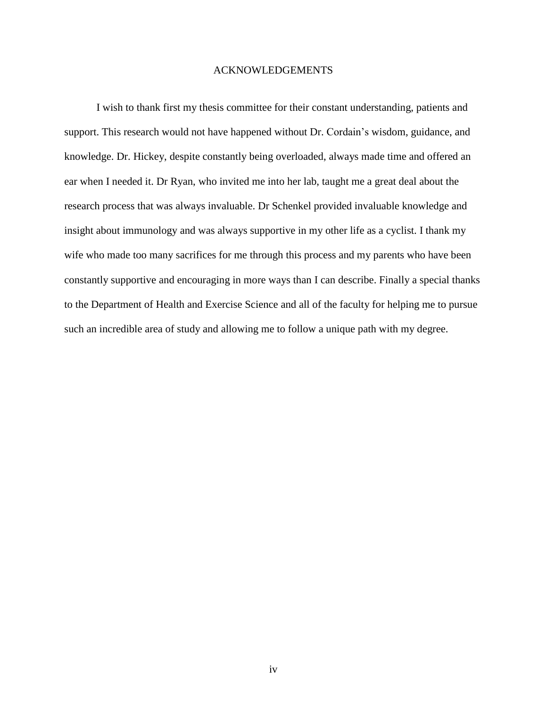# ACKNOWLEDGEMENTS

I wish to thank first my thesis committee for their constant understanding, patients and support. This research would not have happened without Dr. Cordain's wisdom, guidance, and knowledge. Dr. Hickey, despite constantly being overloaded, always made time and offered an ear when I needed it. Dr Ryan, who invited me into her lab, taught me a great deal about the research process that was always invaluable. Dr Schenkel provided invaluable knowledge and insight about immunology and was always supportive in my other life as a cyclist. I thank my wife who made too many sacrifices for me through this process and my parents who have been constantly supportive and encouraging in more ways than I can describe. Finally a special thanks to the Department of Health and Exercise Science and all of the faculty for helping me to pursue such an incredible area of study and allowing me to follow a unique path with my degree.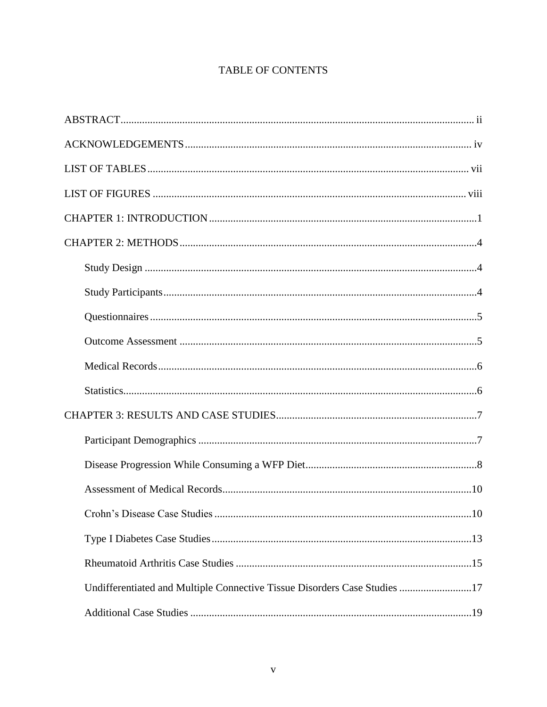# **TABLE OF CONTENTS**

| Undifferentiated and Multiple Connective Tissue Disorders Case Studies 17 |  |
|---------------------------------------------------------------------------|--|
|                                                                           |  |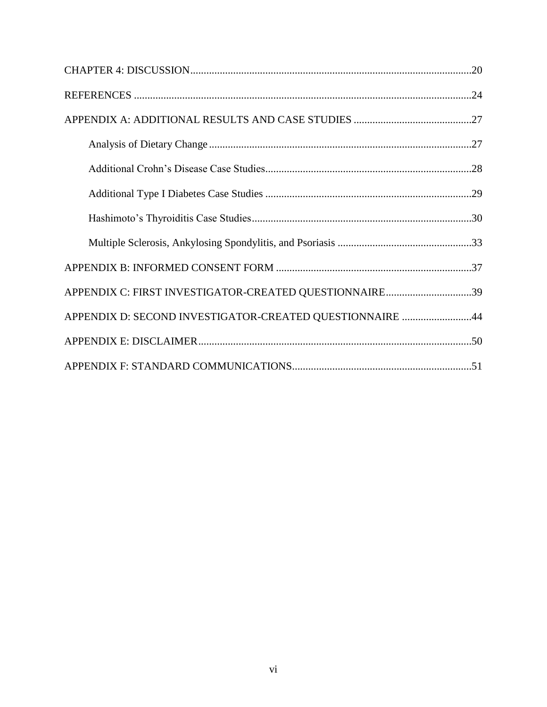| APPENDIX C: FIRST INVESTIGATOR-CREATED QUESTIONNAIRE39   |  |
|----------------------------------------------------------|--|
| APPENDIX D: SECOND INVESTIGATOR-CREATED QUESTIONNAIRE 44 |  |
|                                                          |  |
|                                                          |  |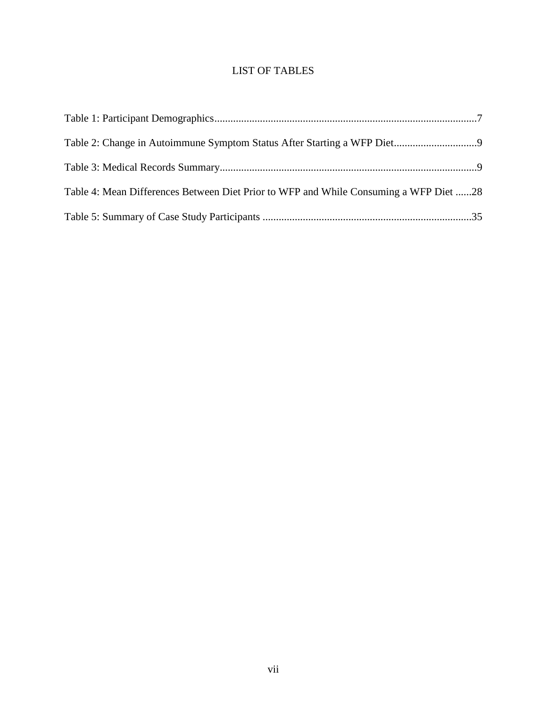# LIST OF TABLES

| Table 4: Mean Differences Between Diet Prior to WFP and While Consuming a WFP Diet 28 |  |
|---------------------------------------------------------------------------------------|--|
|                                                                                       |  |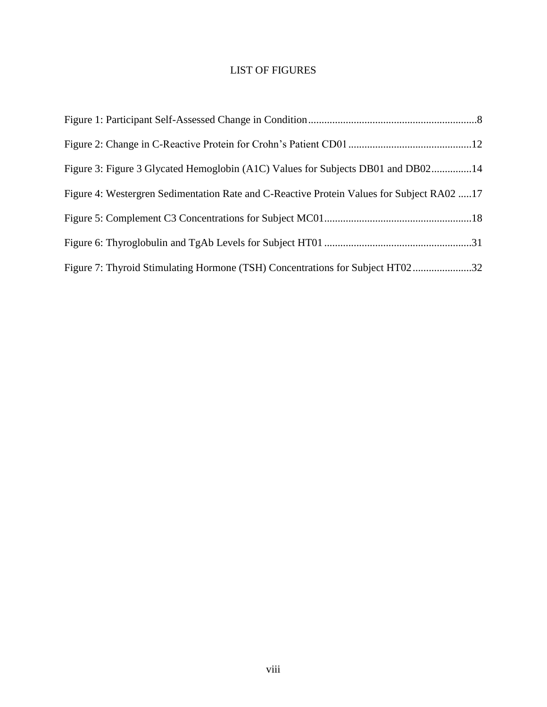# LIST OF FIGURES

| Figure 3: Figure 3 Glycated Hemoglobin (A1C) Values for Subjects DB01 and DB0214          |  |
|-------------------------------------------------------------------------------------------|--|
| Figure 4: Westergren Sedimentation Rate and C-Reactive Protein Values for Subject RA02 17 |  |
|                                                                                           |  |
|                                                                                           |  |
| Figure 7: Thyroid Stimulating Hormone (TSH) Concentrations for Subject HT0232             |  |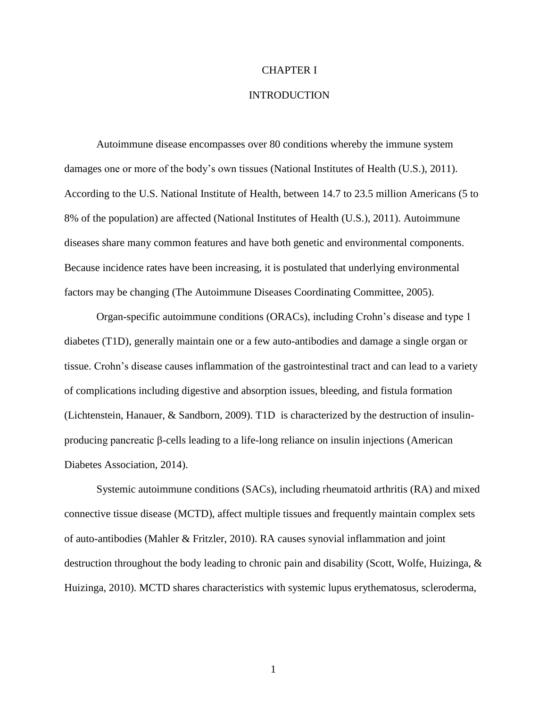# CHAPTER I

#### INTRODUCTION

Autoimmune disease encompasses over 80 conditions whereby the immune system damages one or more of the body's own tissues [\(National Institutes of Health \(U.S.\), 2011\)](#page-33-0). According to the U.S. National Institute of Health, between 14.7 to 23.5 million Americans (5 to 8% of the population) are affected [\(National Institutes of Health \(U.S.\), 2011\)](#page-33-0). Autoimmune diseases share many common features and have both genetic and environmental components. Because incidence rates have been increasing, it is postulated that underlying environmental factors may be changing [\(The Autoimmune Diseases Coordinating Committee, 2005\)](#page-34-0).

Organ-specific autoimmune conditions (ORACs), including Crohn's disease and type 1 diabetes (T1D), generally maintain one or a few auto-antibodies and damage a single organ or tissue. Crohn's disease causes inflammation of the gastrointestinal tract and can lead to a variety of complications including digestive and absorption issues, bleeding, and fistula formation [\(Lichtenstein, Hanauer, & Sandborn, 2009\)](#page-33-1). T1D is characterized by the destruction of insulinproducing pancreatic β-cells leading to a life-long reliance on insulin injections [\(American](#page-32-0)  [Diabetes Association, 2014\)](#page-32-0).

Systemic autoimmune conditions (SACs), including rheumatoid arthritis (RA) and mixed connective tissue disease (MCTD), affect multiple tissues and frequently maintain complex sets of auto-antibodies [\(Mahler & Fritzler, 2010\)](#page-33-2). RA causes synovial inflammation and joint destruction throughout the body leading to chronic pain and disability [\(Scott, Wolfe, Huizinga, &](#page-33-3)  [Huizinga,](#page-33-3) 2010). MCTD shares characteristics with systemic lupus erythematosus, scleroderma,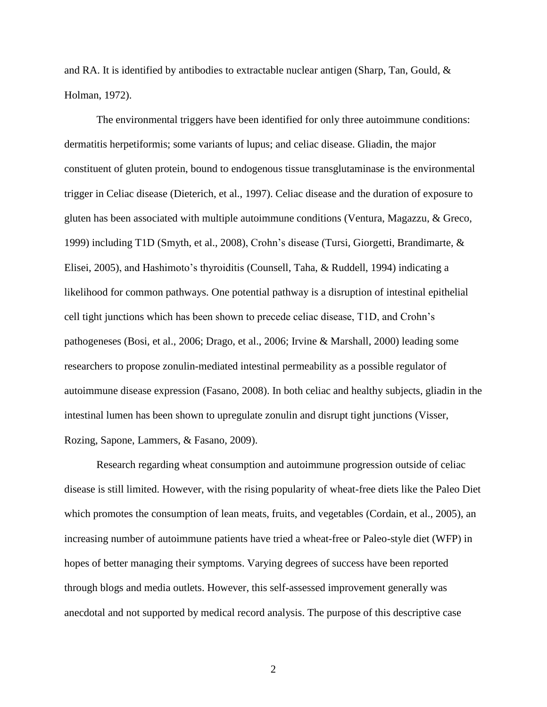and RA. It is identified by antibodies to extractable nuclear antigen [\(Sharp, Tan, Gould, &](#page-33-4)  [Holman, 1972\)](#page-33-4).

The environmental triggers have been identified for only three autoimmune conditions: dermatitis herpetiformis; some variants of lupus; and celiac disease. Gliadin, the major constituent of gluten protein, bound to endogenous tissue transglutaminase is the environmental trigger in Celiac disease [\(Dieterich, et al., 1997\)](#page-32-1). Celiac disease and the duration of exposure to gluten has been associated with multiple autoimmune conditions [\(Ventura, Magazzu, & Greco,](#page-34-1)  [1999\)](#page-34-1) including T1D [\(Smyth, et al., 2008\)](#page-33-5), Crohn's disease [\(Tursi, Giorgetti, Brandimarte, &](#page-34-2)  [Elisei, 2005\)](#page-34-2), and Hashimoto's thyroiditis [\(Counsell, Taha, & Ruddell, 1994\)](#page-32-2) indicating a likelihood for common pathways. One potential pathway is a disruption of intestinal epithelial cell tight junctions which has been shown to precede celiac disease, T1D, and Crohn's pathogeneses [\(Bosi, et al., 2006;](#page-32-3) [Drago, et al., 2006;](#page-32-4) [Irvine & Marshall, 2000\)](#page-32-5) leading some researchers to propose zonulin-mediated intestinal permeability as a possible regulator of autoimmune disease expression [\(Fasano, 2008\)](#page-32-6). In both celiac and healthy subjects, gliadin in the intestinal lumen has been shown to upregulate zonulin and disrupt tight junctions [\(Visser,](#page-34-3)  [Rozing, Sapone, Lammers, & Fasano, 2009\)](#page-34-3).

Research regarding wheat consumption and autoimmune progression outside of celiac disease is still limited. However, with the rising popularity of wheat-free diets like the Paleo Diet which promotes the consumption of lean meats, fruits, and vegetables [\(Cordain, et al., 2005\)](#page-32-7), an increasing number of autoimmune patients have tried a wheat-free or Paleo-style diet (WFP) in hopes of better managing their symptoms. Varying degrees of success have been reported through blogs and media outlets. However, this self-assessed improvement generally was anecdotal and not supported by medical record analysis. The purpose of this descriptive case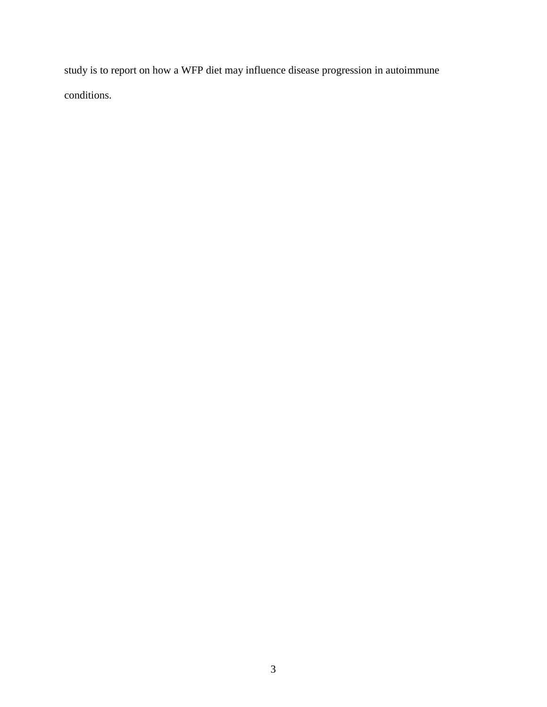study is to report on how a WFP diet may influence disease progression in autoimmune conditions.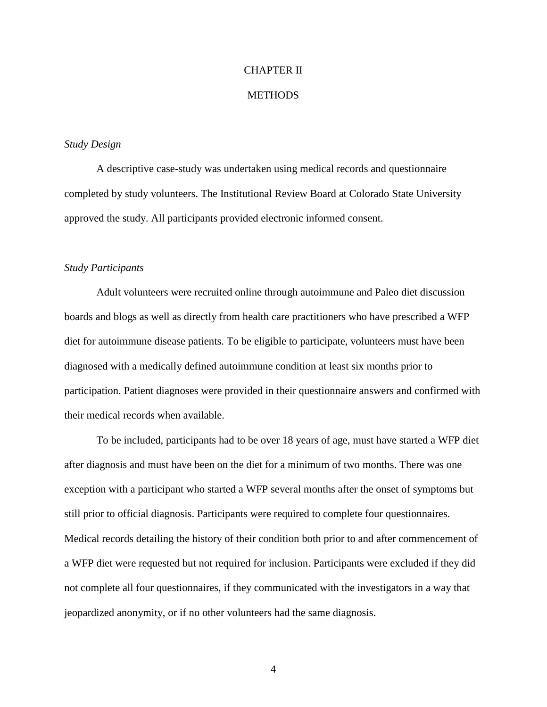# CHAPTER II

#### **METHODS**

# *Study Design*

A descriptive case-study was undertaken using medical records and questionnaire completed by study volunteers. The Institutional Review Board at Colorado State University approved the study. All participants provided electronic informed consent.

#### *Study Participants*

Adult volunteers were recruited online through autoimmune and Paleo diet discussion boards and blogs as well as directly from health care practitioners who have prescribed a WFP diet for autoimmune disease patients. To be eligible to participate, volunteers must have been diagnosed with a medically defined autoimmune condition at least six months prior to participation. Patient diagnoses were provided in their questionnaire answers and confirmed with their medical records when available.

To be included, participants had to be over 18 years of age, must have started a WFP diet after diagnosis and must have been on the diet for a minimum of two months. There was one exception with a participant who started a WFP several months after the onset of symptoms but still prior to official diagnosis. Participants were required to complete four questionnaires. Medical records detailing the history of their condition both prior to and after commencement of a WFP diet were requested but not required for inclusion. Participants were excluded if they did not complete all four questionnaires, if they communicated with the investigators in a way that jeopardized anonymity, or if no other volunteers had the same diagnosis.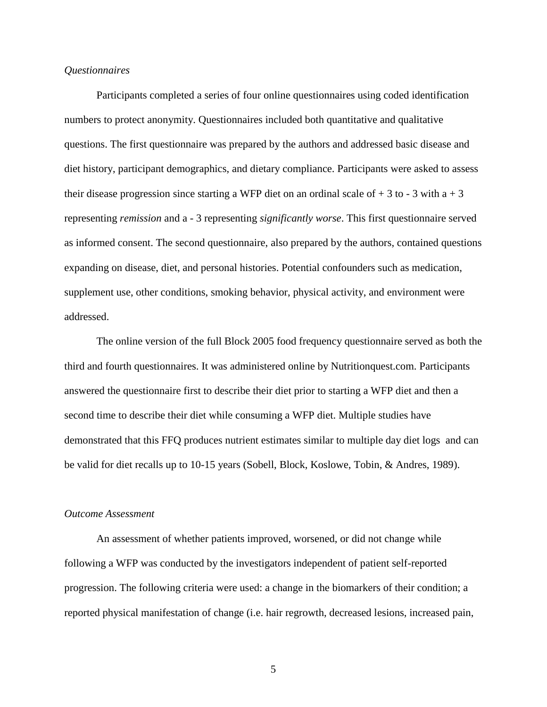#### *Questionnaires*

Participants completed a series of four online questionnaires using coded identification numbers to protect anonymity. Questionnaires included both quantitative and qualitative questions. The first questionnaire was prepared by the authors and addressed basic disease and diet history, participant demographics, and dietary compliance. Participants were asked to assess their disease progression since starting a WFP diet on an ordinal scale of  $+3$  to  $-3$  with a  $+3$ representing *remission* and a - 3 representing *significantly worse*. This first questionnaire served as informed consent. The second questionnaire, also prepared by the authors, contained questions expanding on disease, diet, and personal histories. Potential confounders such as medication, supplement use, other conditions, smoking behavior, physical activity, and environment were addressed.

The online version of the full Block 2005 food frequency questionnaire served as both the third and fourth questionnaires. It was administered online by Nutritionquest.com. Participants answered the questionnaire first to describe their diet prior to starting a WFP diet and then a second time to describe their diet while consuming a WFP diet. Multiple studies have demonstrated that this FFQ produces nutrient estimates similar to multiple day diet logs and can be valid for diet recalls up to 10-15 years [\(Sobell, Block, Koslowe, Tobin, & Andres, 1989\)](#page-34-4).

#### *Outcome Assessment*

An assessment of whether patients improved, worsened, or did not change while following a WFP was conducted by the investigators independent of patient self-reported progression. The following criteria were used: a change in the biomarkers of their condition; a reported physical manifestation of change (i.e. hair regrowth, decreased lesions, increased pain,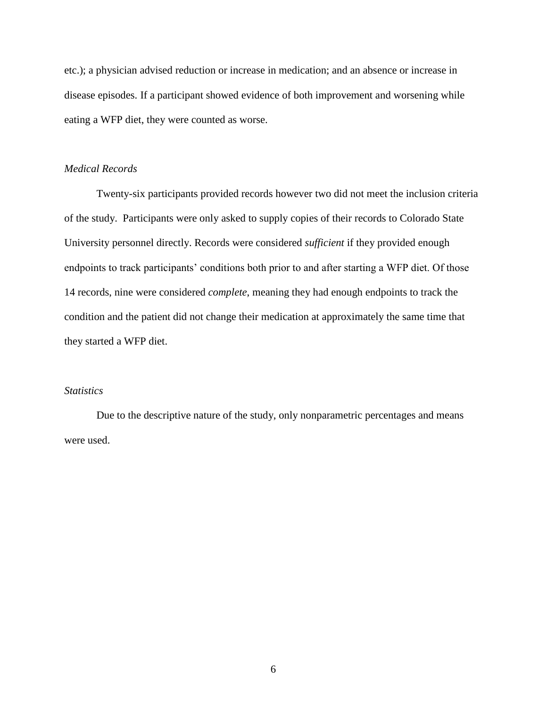etc.); a physician advised reduction or increase in medication; and an absence or increase in disease episodes. If a participant showed evidence of both improvement and worsening while eating a WFP diet, they were counted as worse.

# *Medical Records*

Twenty-six participants provided records however two did not meet the inclusion criteria of the study. Participants were only asked to supply copies of their records to Colorado State University personnel directly. Records were considered *sufficient* if they provided enough endpoints to track participants' conditions both prior to and after starting a WFP diet. Of those 14 records, nine were considered *complete*, meaning they had enough endpoints to track the condition and the patient did not change their medication at approximately the same time that they started a WFP diet.

# *Statistics*

Due to the descriptive nature of the study, only nonparametric percentages and means were used.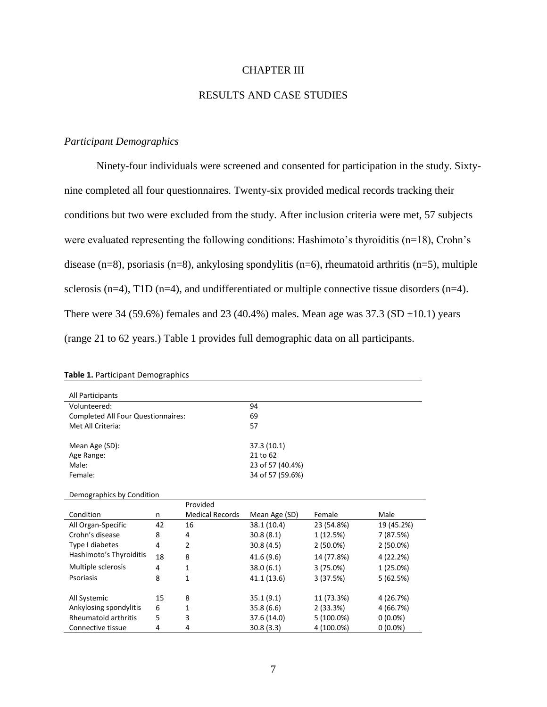# CHAPTER III

# RESULTS AND CASE STUDIES

#### *Participant Demographics*

Ninety-four individuals were screened and consented for participation in the study. Sixtynine completed all four questionnaires. Twenty-six provided medical records tracking their conditions but two were excluded from the study. After inclusion criteria were met, 57 subjects were evaluated representing the following conditions: Hashimoto's thyroiditis (n=18), Crohn's disease (n=8), psoriasis (n=8), ankylosing spondylitis (n=6), rheumatoid arthritis (n=5), multiple sclerosis ( $n=4$ ), T1D ( $n=4$ ), and undifferentiated or multiple connective tissue disorders ( $n=4$ ). There were 34 (59.6%) females and 23 (40.4%) males. Mean age was  $37.3$  (SD  $\pm$ 10.1) years (range 21 to 62 years.) Table 1 provides full demographic data on all participants.

| All Participants                   |    |                        |                  |             |             |  |  |  |  |
|------------------------------------|----|------------------------|------------------|-------------|-------------|--|--|--|--|
| Volunteered:                       |    |                        | 94               |             |             |  |  |  |  |
| Completed All Four Questionnaires: |    |                        | 69               |             |             |  |  |  |  |
| Met All Criteria:                  |    |                        | 57               |             |             |  |  |  |  |
|                                    |    |                        |                  |             |             |  |  |  |  |
| Mean Age (SD):                     |    |                        | 37.3 (10.1)      |             |             |  |  |  |  |
| Age Range:                         |    |                        | 21 to 62         |             |             |  |  |  |  |
| Male:                              |    |                        | 23 of 57 (40.4%) |             |             |  |  |  |  |
| Female:                            |    |                        | 34 of 57 (59.6%) |             |             |  |  |  |  |
|                                    |    |                        |                  |             |             |  |  |  |  |
| Demographics by Condition          |    |                        |                  |             |             |  |  |  |  |
|                                    |    | Provided               |                  |             |             |  |  |  |  |
| Condition                          | n  | <b>Medical Records</b> | Mean Age (SD)    | Female      | Male        |  |  |  |  |
| All Organ-Specific                 | 42 | 16                     | 38.1 (10.4)      | 23 (54.8%)  | 19 (45.2%)  |  |  |  |  |
| Crohn's disease                    | 8  | 4                      | 30.8(8.1)        | 1 (12.5%)   | 7 (87.5%)   |  |  |  |  |
| Type I diabetes                    | 4  | $\overline{2}$         | 30.8(4.5)        | $2(50.0\%)$ | $2(50.0\%)$ |  |  |  |  |
| Hashimoto's Thyroiditis            | 18 | 8                      | 41.6(9.6)        | 14 (77.8%)  | 4 (22.2%)   |  |  |  |  |
| Multiple sclerosis                 | 4  | 1                      | 38.0(6.1)        | 3(75.0%)    | 1(25.0%)    |  |  |  |  |
| Psoriasis                          | 8  | 1                      | 41.1 (13.6)      | 3(37.5%)    | 5(62.5%)    |  |  |  |  |
|                                    |    |                        |                  |             |             |  |  |  |  |
| All Systemic                       | 15 | 8                      | 35.1(9.1)        | 11 (73.3%)  | 4 (26.7%)   |  |  |  |  |
| Ankylosing spondylitis             | 6  | 1                      | 35.8(6.6)        | 2(33.3%)    | 4 (66.7%)   |  |  |  |  |
| <b>Rheumatoid arthritis</b>        | 5  | 3                      | 37.6 (14.0)      | 5 (100.0%)  | $0(0.0\%)$  |  |  |  |  |
| Connective tissue                  | 4  | 4                      | 30.8(3.3)        | 4 (100.0%)  | $0(0.0\%)$  |  |  |  |  |

#### **Table 1.** Participant Demographics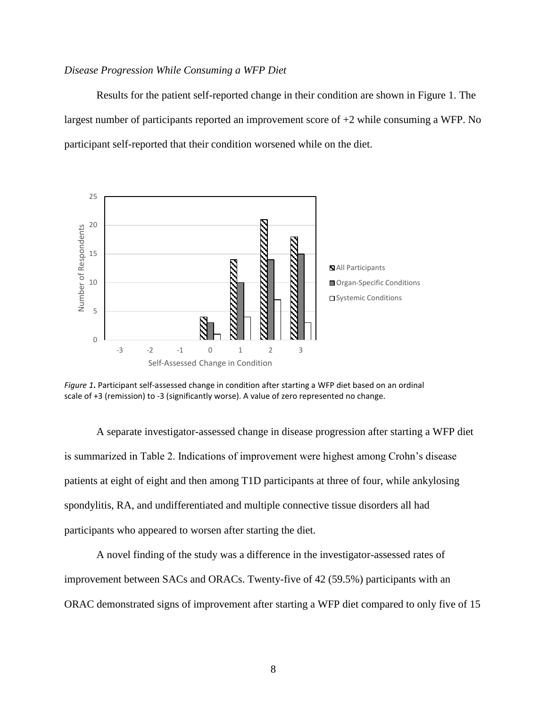#### *Disease Progression While Consuming a WFP Diet*

Results for the patient self-reported change in their condition are shown in Figure 1. The largest number of participants reported an improvement score of +2 while consuming a WFP. No participant self-reported that their condition worsened while on the diet.



*Figure 1***.** Participant self-assessed change in condition after starting a WFP diet based on an ordinal scale of +3 (remission) to -3 (significantly worse). A value of zero represented no change.

A separate investigator-assessed change in disease progression after starting a WFP diet is summarized in Table 2. Indications of improvement were highest among Crohn's disease patients at eight of eight and then among T1D participants at three of four, while ankylosing spondylitis, RA, and undifferentiated and multiple connective tissue disorders all had participants who appeared to worsen after starting the diet.

A novel finding of the study was a difference in the investigator-assessed rates of improvement between SACs and ORACs. Twenty-five of 42 (59.5%) participants with an ORAC demonstrated signs of improvement after starting a WFP diet compared to only five of 15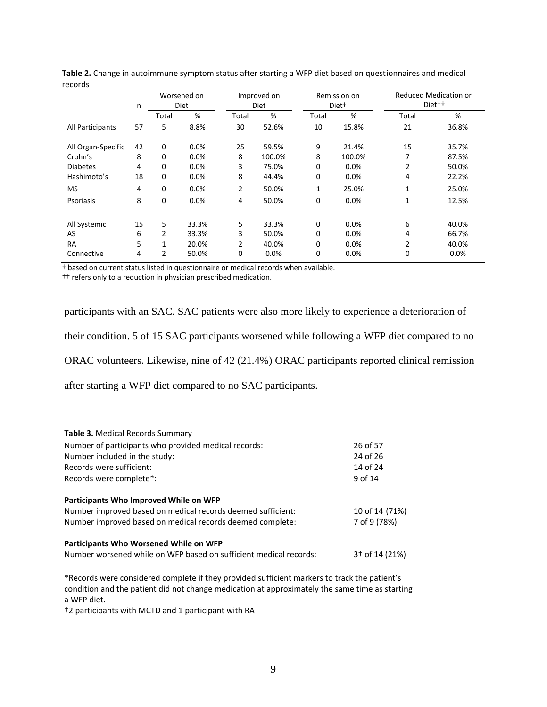|                    | n  | Worsened on<br>Improved on<br>Diet<br><b>Diet</b> |       | Remission on<br>Diet <sup>+</sup> |        | Reduced Medication on<br>Diet <sup>++</sup> |        |                |       |
|--------------------|----|---------------------------------------------------|-------|-----------------------------------|--------|---------------------------------------------|--------|----------------|-------|
|                    |    | Total                                             | %     | Total                             | %      | Total                                       | %      | Total          | %     |
| All Participants   | 57 | 5                                                 | 8.8%  | 30                                | 52.6%  | 10                                          | 15.8%  | 21             | 36.8% |
| All Organ-Specific | 42 | $\mathbf 0$                                       | 0.0%  | 25                                | 59.5%  | 9                                           | 21.4%  | 15             | 35.7% |
| Crohn's            | 8  | 0                                                 | 0.0%  | 8                                 | 100.0% | 8                                           | 100.0% | 7              | 87.5% |
| <b>Diabetes</b>    | 4  | 0                                                 | 0.0%  | 3                                 | 75.0%  | 0                                           | 0.0%   | $\overline{2}$ | 50.0% |
| Hashimoto's        | 18 | $\Omega$                                          | 0.0%  | 8                                 | 44.4%  | 0                                           | 0.0%   | 4              | 22.2% |
| <b>MS</b>          | 4  | 0                                                 | 0.0%  | 2                                 | 50.0%  | 1                                           | 25.0%  | $\mathbf{1}$   | 25.0% |
| Psoriasis          | 8  | 0                                                 | 0.0%  | 4                                 | 50.0%  | 0                                           | 0.0%   | 1              | 12.5% |
| All Systemic       | 15 | 5                                                 | 33.3% | 5                                 | 33.3%  | $\mathbf 0$                                 | 0.0%   | 6              | 40.0% |
| AS                 | 6  | 2                                                 | 33.3% | 3                                 | 50.0%  | $\Omega$                                    | 0.0%   | 4              | 66.7% |
| <b>RA</b>          | 5  | 1                                                 | 20.0% | $\overline{2}$                    | 40.0%  | 0                                           | 0.0%   | $\overline{2}$ | 40.0% |
| Connective         | 4  | 2                                                 | 50.0% | 0                                 | 0.0%   | 0                                           | 0.0%   | 0              | 0.0%  |

| Table 2. Change in autoimmune symptom status after starting a WFP diet based on questionnaires and medical |  |
|------------------------------------------------------------------------------------------------------------|--|
| records                                                                                                    |  |

† based on current status listed in questionnaire or medical records when available.

†† refers only to a reduction in physician prescribed medication.

participants with an SAC. SAC patients were also more likely to experience a deterioration of

their condition. 5 of 15 SAC participants worsened while following a WFP diet compared to no

ORAC volunteers. Likewise, nine of 42 (21.4%) ORAC participants reported clinical remission

after starting a WFP diet compared to no SAC participants.

| <b>Table 3. Medical Records Summary</b>                           |                            |
|-------------------------------------------------------------------|----------------------------|
| Number of participants who provided medical records:              | 26 of 57                   |
| Number included in the study:                                     | 24 of 26                   |
| Records were sufficient:                                          | 14 of 24                   |
| Records were complete*:                                           | 9 of 14                    |
| Participants Who Improved While on WFP                            |                            |
| Number improved based on medical records deemed sufficient:       | 10 of 14 (71%)             |
| Number improved based on medical records deemed complete:         | 7 of 9 (78%)               |
| Participants Who Worsened While on WFP                            |                            |
| Number worsened while on WFP based on sufficient medical records: | 3 <sup>†</sup> of 14 (21%) |

\*Records were considered complete if they provided sufficient markers to track the patient's condition and the patient did not change medication at approximately the same time as starting a WFP diet.

†2 participants with MCTD and 1 participant with RA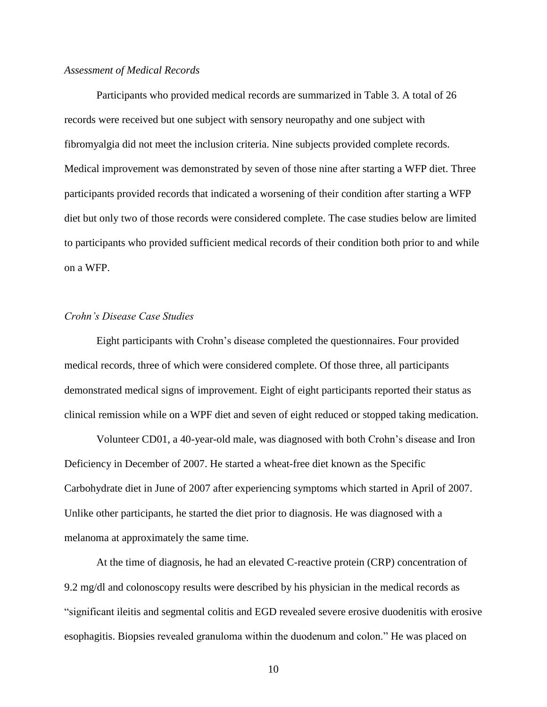#### *Assessment of Medical Records*

Participants who provided medical records are summarized in Table 3. A total of 26 records were received but one subject with sensory neuropathy and one subject with fibromyalgia did not meet the inclusion criteria. Nine subjects provided complete records. Medical improvement was demonstrated by seven of those nine after starting a WFP diet. Three participants provided records that indicated a worsening of their condition after starting a WFP diet but only two of those records were considered complete. The case studies below are limited to participants who provided sufficient medical records of their condition both prior to and while on a WFP.

# *Crohn's Disease Case Studies*

Eight participants with Crohn's disease completed the questionnaires. Four provided medical records, three of which were considered complete. Of those three, all participants demonstrated medical signs of improvement. Eight of eight participants reported their status as clinical remission while on a WPF diet and seven of eight reduced or stopped taking medication.

Volunteer CD01, a 40-year-old male, was diagnosed with both Crohn's disease and Iron Deficiency in December of 2007. He started a wheat-free diet known as the Specific Carbohydrate diet in June of 2007 after experiencing symptoms which started in April of 2007. Unlike other participants, he started the diet prior to diagnosis. He was diagnosed with a melanoma at approximately the same time.

At the time of diagnosis, he had an elevated C-reactive protein (CRP) concentration of 9.2 mg/dl and colonoscopy results were described by his physician in the medical records as "significant ileitis and segmental colitis and EGD revealed severe erosive duodenitis with erosive esophagitis. Biopsies revealed granuloma within the duodenum and colon." He was placed on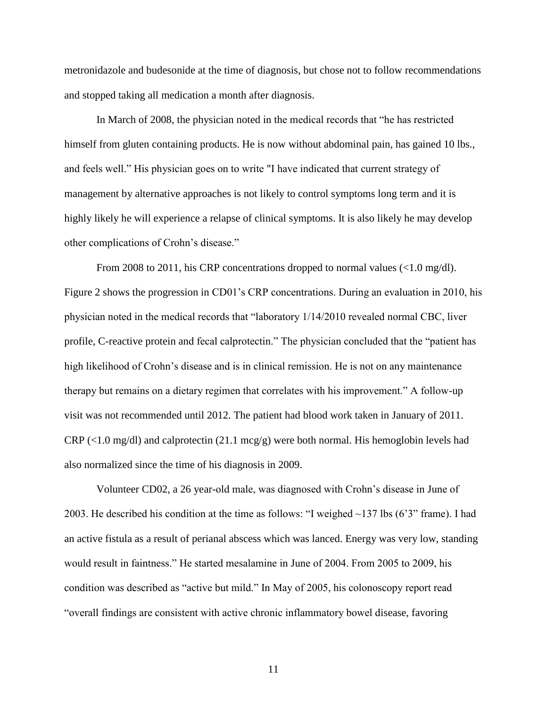metronidazole and budesonide at the time of diagnosis, but chose not to follow recommendations and stopped taking all medication a month after diagnosis.

In March of 2008, the physician noted in the medical records that "he has restricted himself from gluten containing products. He is now without abdominal pain, has gained 10 lbs., and feels well." His physician goes on to write "I have indicated that current strategy of management by alternative approaches is not likely to control symptoms long term and it is highly likely he will experience a relapse of clinical symptoms. It is also likely he may develop other complications of Crohn's disease."

From 2008 to 2011, his CRP concentrations dropped to normal values  $\langle$ <1.0 mg/dl). Figure 2 shows the progression in CD01's CRP concentrations. During an evaluation in 2010, his physician noted in the medical records that "laboratory 1/14/2010 revealed normal CBC, liver profile, C-reactive protein and fecal calprotectin." The physician concluded that the "patient has high likelihood of Crohn's disease and is in clinical remission. He is not on any maintenance therapy but remains on a dietary regimen that correlates with his improvement." A follow-up visit was not recommended until 2012. The patient had blood work taken in January of 2011.  $CRP$  (<1.0 mg/dl) and calprotectin (21.1 mcg/g) were both normal. His hemoglobin levels had also normalized since the time of his diagnosis in 2009.

Volunteer CD02, a 26 year-old male, was diagnosed with Crohn's disease in June of 2003. He described his condition at the time as follows: "I weighed ~137 lbs (6'3" frame). I had an active fistula as a result of perianal abscess which was lanced. Energy was very low, standing would result in faintness." He started mesalamine in June of 2004. From 2005 to 2009, his condition was described as "active but mild." In May of 2005, his colonoscopy report read "overall findings are consistent with active chronic inflammatory bowel disease, favoring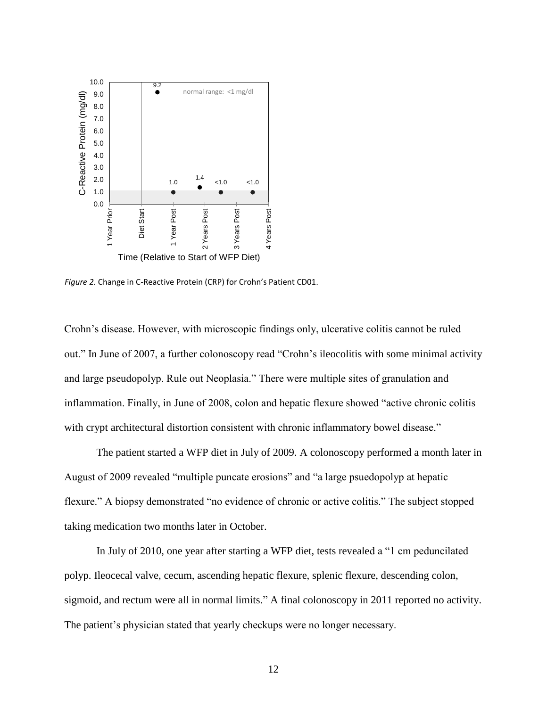

*Figure 2.* Change in C-Reactive Protein (CRP) for Crohn's Patient CD01.

Crohn's disease. However, with microscopic findings only, ulcerative colitis cannot be ruled out." In June of 2007, a further colonoscopy read "Crohn's ileocolitis with some minimal activity and large pseudopolyp. Rule out Neoplasia." There were multiple sites of granulation and inflammation. Finally, in June of 2008, colon and hepatic flexure showed "active chronic colitis with crypt architectural distortion consistent with chronic inflammatory bowel disease."

The patient started a WFP diet in July of 2009. A colonoscopy performed a month later in August of 2009 revealed "multiple puncate erosions" and "a large psuedopolyp at hepatic flexure." A biopsy demonstrated "no evidence of chronic or active colitis." The subject stopped taking medication two months later in October.

In July of 2010, one year after starting a WFP diet, tests revealed a "1 cm peduncilated polyp. Ileocecal valve, cecum, ascending hepatic flexure, splenic flexure, descending colon, sigmoid, and rectum were all in normal limits." A final colonoscopy in 2011 reported no activity. The patient's physician stated that yearly checkups were no longer necessary.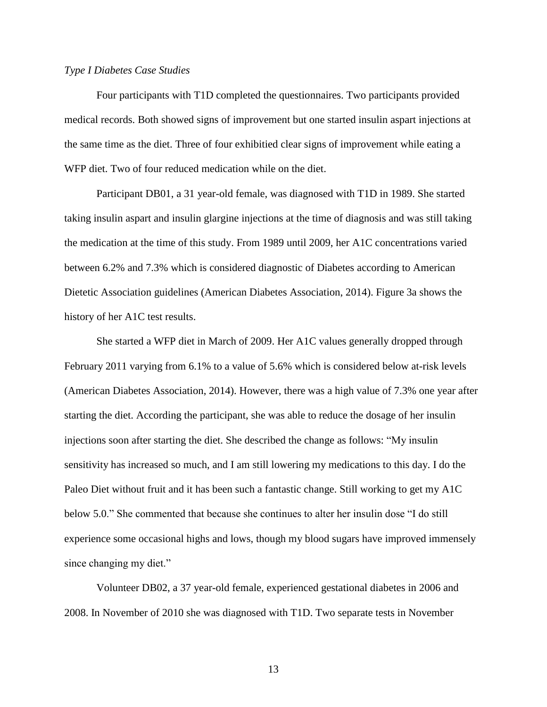# *Type I Diabetes Case Studies*

Four participants with T1D completed the questionnaires. Two participants provided medical records. Both showed signs of improvement but one started insulin aspart injections at the same time as the diet. Three of four exhibitied clear signs of improvement while eating a WFP diet. Two of four reduced medication while on the diet.

Participant DB01, a 31 year-old female, was diagnosed with T1D in 1989. She started taking insulin aspart and insulin glargine injections at the time of diagnosis and was still taking the medication at the time of this study. From 1989 until 2009, her A1C concentrations varied between 6.2% and 7.3% which is considered diagnostic of Diabetes according to American Dietetic Association guidelines [\(American Diabetes Association, 2014\)](#page-32-0). Figure 3a shows the history of her A1C test results.

She started a WFP diet in March of 2009. Her A1C values generally dropped through February 2011 varying from 6.1% to a value of 5.6% which is considered below at-risk levels [\(American Diabetes Association, 2014\)](#page-32-0). However, there was a high value of 7.3% one year after starting the diet. According the participant, she was able to reduce the dosage of her insulin injections soon after starting the diet. She described the change as follows: "My insulin sensitivity has increased so much, and I am still lowering my medications to this day. I do the Paleo Diet without fruit and it has been such a fantastic change. Still working to get my A1C below 5.0." She commented that because she continues to alter her insulin dose "I do still experience some occasional highs and lows, though my blood sugars have improved immensely since changing my diet."

Volunteer DB02, a 37 year-old female, experienced gestational diabetes in 2006 and 2008. In November of 2010 she was diagnosed with T1D. Two separate tests in November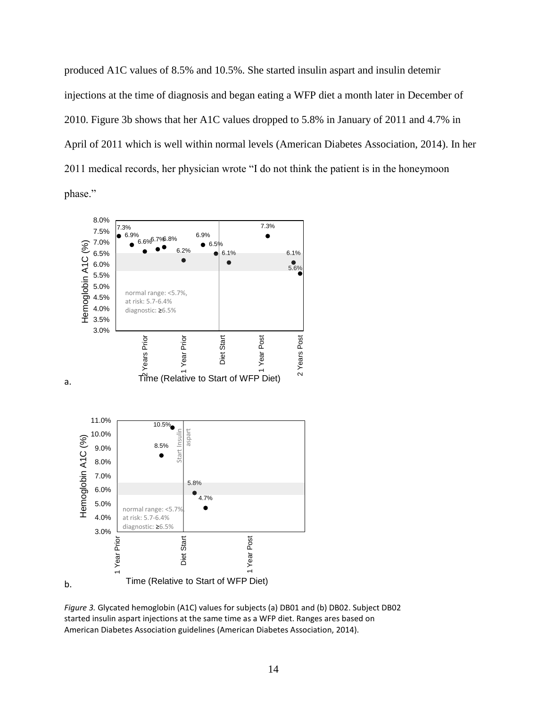produced A1C values of 8.5% and 10.5%. She started insulin aspart and insulin detemir injections at the time of diagnosis and began eating a WFP diet a month later in December of 2010. Figure 3b shows that her A1C values dropped to 5.8% in January of 2011 and 4.7% in April of 2011 which is well within normal levels [\(American Diabetes Association, 2014\)](#page-32-0). In her 2011 medical records, her physician wrote "I do not think the patient is in the honeymoon phase."



*Figure 3.* Glycated hemoglobin (A1C) values for subjects (a) DB01 and (b) DB02. Subject DB02 started insulin aspart injections at the same time as a WFP diet. Ranges ares based on American Diabetes Association guidelines [\(American Diabetes Association, 2014\)](#page-32-0).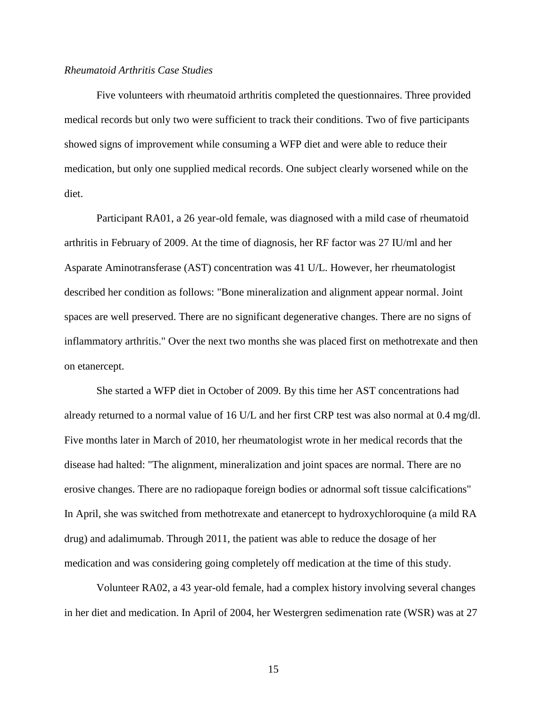# *Rheumatoid Arthritis Case Studies*

Five volunteers with rheumatoid arthritis completed the questionnaires. Three provided medical records but only two were sufficient to track their conditions. Two of five participants showed signs of improvement while consuming a WFP diet and were able to reduce their medication, but only one supplied medical records. One subject clearly worsened while on the diet.

Participant RA01, a 26 year-old female, was diagnosed with a mild case of rheumatoid arthritis in February of 2009. At the time of diagnosis, her RF factor was 27 IU/ml and her Asparate Aminotransferase (AST) concentration was 41 U/L. However, her rheumatologist described her condition as follows: "Bone mineralization and alignment appear normal. Joint spaces are well preserved. There are no significant degenerative changes. There are no signs of inflammatory arthritis." Over the next two months she was placed first on methotrexate and then on etanercept.

She started a WFP diet in October of 2009. By this time her AST concentrations had already returned to a normal value of 16 U/L and her first CRP test was also normal at 0.4 mg/dl. Five months later in March of 2010, her rheumatologist wrote in her medical records that the disease had halted: "The alignment, mineralization and joint spaces are normal. There are no erosive changes. There are no radiopaque foreign bodies or adnormal soft tissue calcifications" In April, she was switched from methotrexate and etanercept to hydroxychloroquine (a mild RA drug) and adalimumab. Through 2011, the patient was able to reduce the dosage of her medication and was considering going completely off medication at the time of this study.

Volunteer RA02, a 43 year-old female, had a complex history involving several changes in her diet and medication. In April of 2004, her Westergren sedimenation rate (WSR) was at 27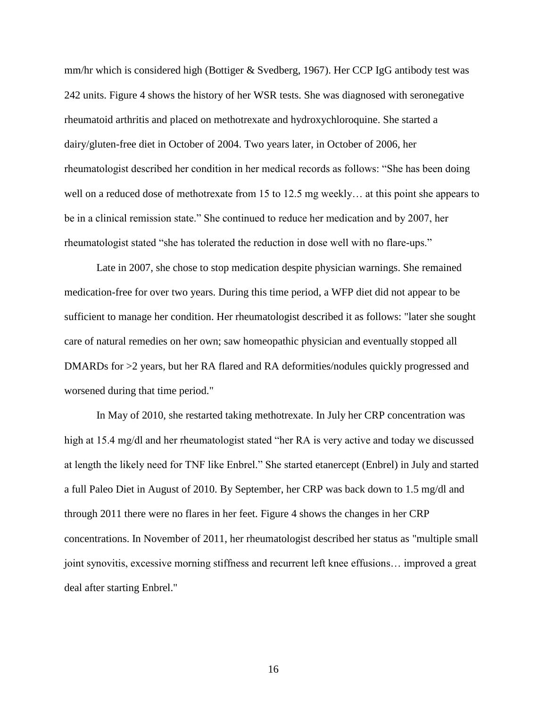mm/hr which is considered high [\(Bottiger & Svedberg, 1967\)](#page-32-8). Her CCP IgG antibody test was 242 units. Figure 4 shows the history of her WSR tests. She was diagnosed with seronegative rheumatoid arthritis and placed on methotrexate and hydroxychloroquine. She started a dairy/gluten-free diet in October of 2004. Two years later, in October of 2006, her rheumatologist described her condition in her medical records as follows: "She has been doing well on a reduced dose of methotrexate from 15 to 12.5 mg weekly… at this point she appears to be in a clinical remission state." She continued to reduce her medication and by 2007, her rheumatologist stated "she has tolerated the reduction in dose well with no flare-ups."

Late in 2007, she chose to stop medication despite physician warnings. She remained medication-free for over two years. During this time period, a WFP diet did not appear to be sufficient to manage her condition. Her rheumatologist described it as follows: "later she sought care of natural remedies on her own; saw homeopathic physician and eventually stopped all DMARDs for >2 years, but her RA flared and RA deformities/nodules quickly progressed and worsened during that time period."

In May of 2010, she restarted taking methotrexate. In July her CRP concentration was high at 15.4 mg/dl and her rheumatologist stated "her RA is very active and today we discussed at length the likely need for TNF like Enbrel." She started etanercept (Enbrel) in July and started a full Paleo Diet in August of 2010. By September, her CRP was back down to 1.5 mg/dl and through 2011 there were no flares in her feet. Figure 4 shows the changes in her CRP concentrations. In November of 2011, her rheumatologist described her status as "multiple small joint synovitis, excessive morning stiffness and recurrent left knee effusions… improved a great deal after starting Enbrel."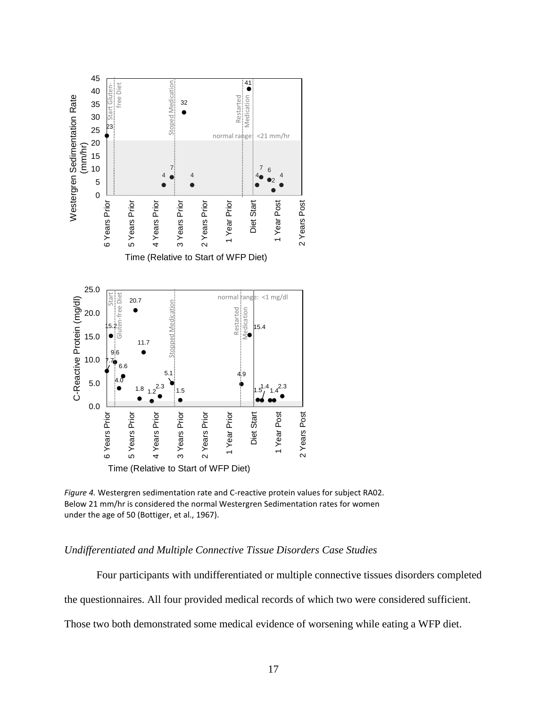

*Figure 4.* Westergren sedimentation rate and C-reactive protein values for subject RA02. Below 21 mm/hr is considered the normal Westergren Sedimentation rates for women under the age of 50 [\(Bottiger, et al., 1967\)](#page-32-8).

# *Undifferentiated and Multiple Connective Tissue Disorders Case Studies*

Four participants with undifferentiated or multiple connective tissues disorders completed

the questionnaires. All four provided medical records of which two were considered sufficient.

Those two both demonstrated some medical evidence of worsening while eating a WFP diet.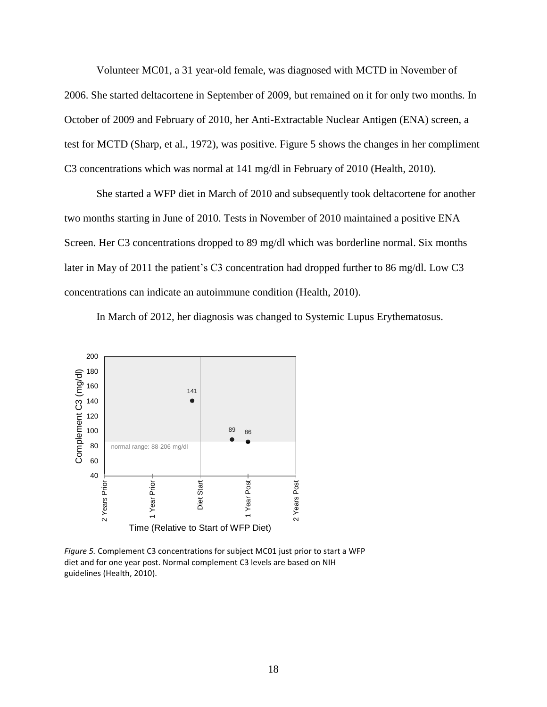Volunteer MC01, a 31 year-old female, was diagnosed with MCTD in November of 2006. She started deltacortene in September of 2009, but remained on it for only two months. In October of 2009 and February of 2010, her Anti-Extractable Nuclear Antigen (ENA) screen, a test for MCTD [\(Sharp, et al., 1972\)](#page-33-4), was positive. Figure 5 shows the changes in her compliment C3 concentrations which was normal at 141 mg/dl in February of 2010 [\(Health, 2010\)](#page-32-9).

She started a WFP diet in March of 2010 and subsequently took deltacortene for another two months starting in June of 2010. Tests in November of 2010 maintained a positive ENA Screen. Her C3 concentrations dropped to 89 mg/dl which was borderline normal. Six months later in May of 2011 the patient's C3 concentration had dropped further to 86 mg/dl. Low C3 concentrations can indicate an autoimmune condition [\(Health, 2010\)](#page-32-9).

In March of 2012, her diagnosis was changed to Systemic Lupus Erythematosus.



*Figure 5.* Complement C3 concentrations for subject MC01 just prior to start a WFP diet and for one year post. Normal complement C3 levels are based on NIH guidelines [\(Health, 2010\)](#page-32-9).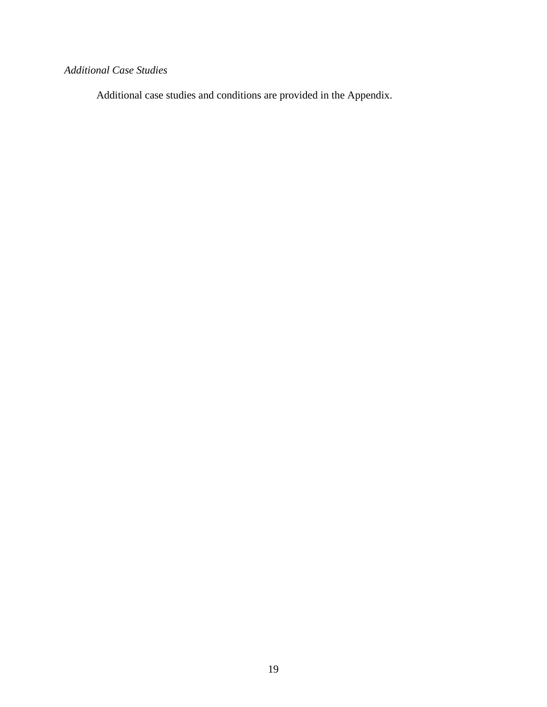# *Additional Case Studies*

Additional case studies and conditions are provided in the Appendix.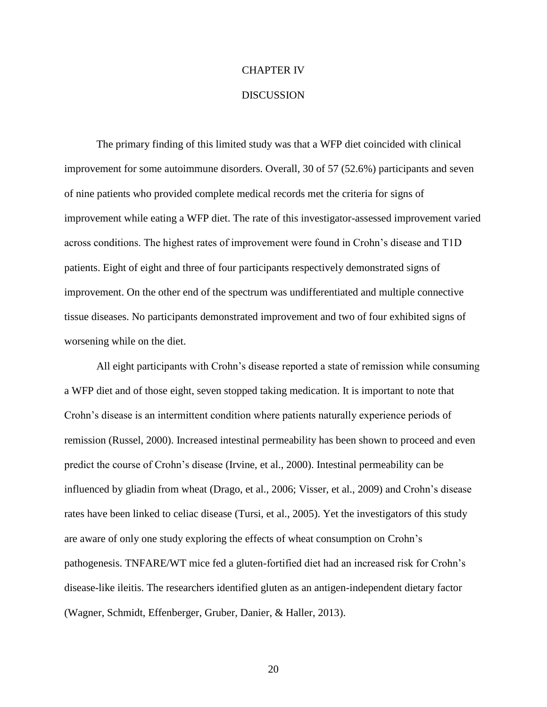#### CHAPTER IV

#### **DISCUSSION**

The primary finding of this limited study was that a WFP diet coincided with clinical improvement for some autoimmune disorders. Overall, 30 of 57 (52.6%) participants and seven of nine patients who provided complete medical records met the criteria for signs of improvement while eating a WFP diet. The rate of this investigator-assessed improvement varied across conditions. The highest rates of improvement were found in Crohn's disease and T1D patients. Eight of eight and three of four participants respectively demonstrated signs of improvement. On the other end of the spectrum was undifferentiated and multiple connective tissue diseases. No participants demonstrated improvement and two of four exhibited signs of worsening while on the diet.

All eight participants with Crohn's disease reported a state of remission while consuming a WFP diet and of those eight, seven stopped taking medication. It is important to note that Crohn's disease is an intermittent condition where patients naturally experience periods of remission [\(Russel, 2000\)](#page-33-6). Increased intestinal permeability has been shown to proceed and even predict the course of Crohn's disease [\(Irvine, et al., 2000\)](#page-32-5). Intestinal permeability can be influenced by gliadin from wheat [\(Drago, et al., 2006;](#page-32-4) [Visser, et al., 2009\)](#page-34-3) and Crohn's disease rates have been linked to celiac disease [\(Tursi, et al., 2005\)](#page-34-2). Yet the investigators of this study are aware of only one study exploring the effects of wheat consumption on Crohn's pathogenesis. TNFARE/WT mice fed a gluten-fortified diet had an increased risk for Crohn's disease-like ileitis. The researchers identified gluten as an antigen-independent dietary factor [\(Wagner, Schmidt, Effenberger, Gruber, Danier, & Haller, 2013\)](#page-34-5).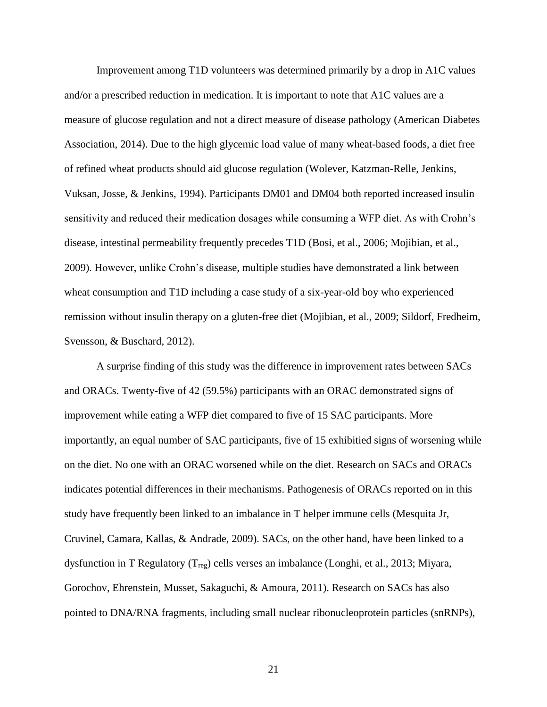Improvement among T1D volunteers was determined primarily by a drop in A1C values and/or a prescribed reduction in medication. It is important to note that A1C values are a measure of glucose regulation and not a direct measure of disease pathology [\(American Diabetes](#page-32-0)  [Association, 2014\)](#page-32-0). Due to the high glycemic load value of many wheat-based foods, a diet free of refined wheat products should aid glucose regulation [\(Wolever, Katzman-Relle, Jenkins,](#page-34-6)  [Vuksan, Josse, & Jenkins, 1994\)](#page-34-6). Participants DM01 and DM04 both reported increased insulin sensitivity and reduced their medication dosages while consuming a WFP diet. As with Crohn's disease, intestinal permeability frequently precedes T1D [\(Bosi, et al., 2006;](#page-32-3) [Mojibian, et al.,](#page-33-7)  [2009\)](#page-33-7). However, unlike Crohn's disease, multiple studies have demonstrated a link between wheat consumption and T1D including a case study of a six-year-old boy who experienced remission without insulin therapy on a gluten-free diet [\(Mojibian, et al., 2009;](#page-33-7) [Sildorf, Fredheim,](#page-33-8)  [Svensson, & Buschard, 2012\)](#page-33-8).

A surprise finding of this study was the difference in improvement rates between SACs and ORACs. Twenty-five of 42 (59.5%) participants with an ORAC demonstrated signs of improvement while eating a WFP diet compared to five of 15 SAC participants. More importantly, an equal number of SAC participants, five of 15 exhibitied signs of worsening while on the diet. No one with an ORAC worsened while on the diet. Research on SACs and ORACs indicates potential differences in their mechanisms. Pathogenesis of ORACs reported on in this study have frequently been linked to an imbalance in T helper immune cells [\(Mesquita Jr,](#page-33-9)  [Cruvinel, Camara, Kallas, & Andrade, 2009\)](#page-33-9). SACs, on the other hand, have been linked to a dysfunction in T Regulatory  $(T_{reg})$  cells verses an imbalance [\(Longhi, et al., 2013;](#page-33-10) Miyara, [Gorochov, Ehrenstein, Musset, Sakaguchi, & Amoura, 2011\)](#page-33-11). Research on SACs has also pointed to DNA/RNA fragments, including small nuclear ribonucleoprotein particles (snRNPs),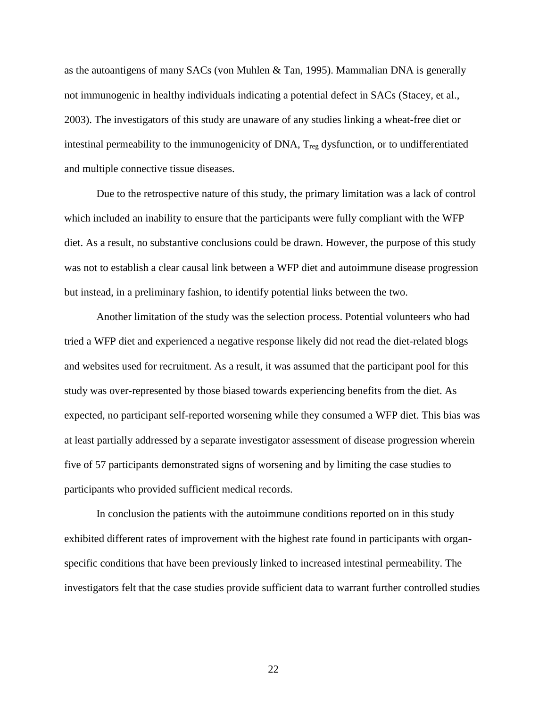as the autoantigens of many SACs [\(von Muhlen & Tan, 1995\)](#page-34-7). Mammalian DNA is generally not immunogenic in healthy individuals indicating a potential defect in SACs [\(Stacey, et al.,](#page-34-8)  [2003\)](#page-34-8). The investigators of this study are unaware of any studies linking a wheat-free diet or intestinal permeability to the immunogenicity of DNA, T<sub>reg</sub> dysfunction, or to undifferentiated and multiple connective tissue diseases.

Due to the retrospective nature of this study, the primary limitation was a lack of control which included an inability to ensure that the participants were fully compliant with the WFP diet. As a result, no substantive conclusions could be drawn. However, the purpose of this study was not to establish a clear causal link between a WFP diet and autoimmune disease progression but instead, in a preliminary fashion, to identify potential links between the two.

Another limitation of the study was the selection process. Potential volunteers who had tried a WFP diet and experienced a negative response likely did not read the diet-related blogs and websites used for recruitment. As a result, it was assumed that the participant pool for this study was over-represented by those biased towards experiencing benefits from the diet. As expected, no participant self-reported worsening while they consumed a WFP diet. This bias was at least partially addressed by a separate investigator assessment of disease progression wherein five of 57 participants demonstrated signs of worsening and by limiting the case studies to participants who provided sufficient medical records.

In conclusion the patients with the autoimmune conditions reported on in this study exhibited different rates of improvement with the highest rate found in participants with organspecific conditions that have been previously linked to increased intestinal permeability. The investigators felt that the case studies provide sufficient data to warrant further controlled studies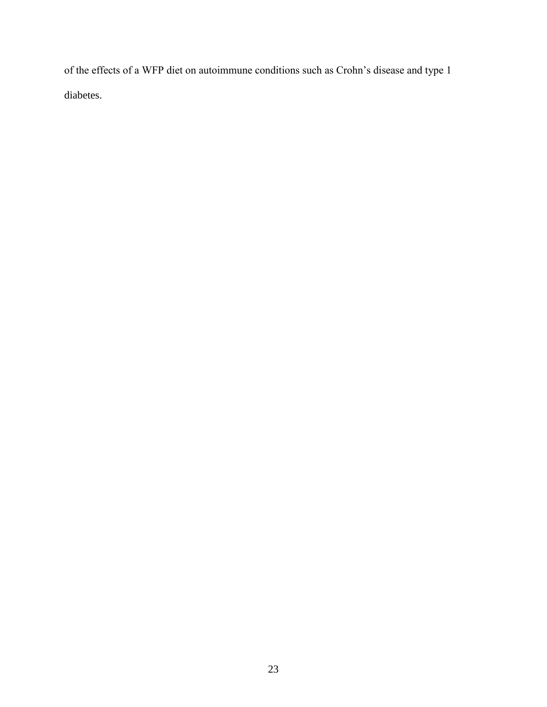of the effects of a WFP diet on autoimmune conditions such as Crohn's disease and type 1 diabetes.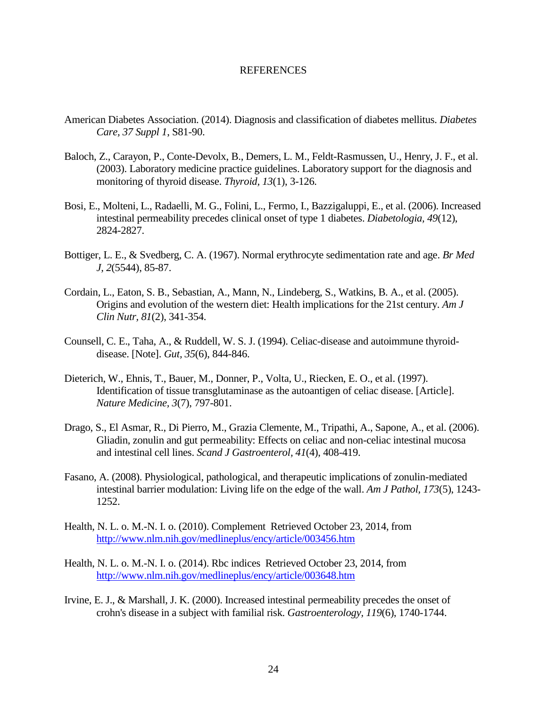# REFERENCES

- <span id="page-32-0"></span>American Diabetes Association. (2014). Diagnosis and classification of diabetes mellitus. *Diabetes Care, 37 Suppl 1*, S81-90.
- <span id="page-32-11"></span>Baloch, Z., Carayon, P., Conte-Devolx, B., Demers, L. M., Feldt-Rasmussen, U., Henry, J. F., et al. (2003). Laboratory medicine practice guidelines. Laboratory support for the diagnosis and monitoring of thyroid disease. *Thyroid, 13*(1), 3-126.
- <span id="page-32-3"></span>Bosi, E., Molteni, L., Radaelli, M. G., Folini, L., Fermo, I., Bazzigaluppi, E., et al. (2006). Increased intestinal permeability precedes clinical onset of type 1 diabetes. *Diabetologia, 49*(12), 2824-2827.
- <span id="page-32-8"></span>Bottiger, L. E., & Svedberg, C. A. (1967). Normal erythrocyte sedimentation rate and age. *Br Med J, 2*(5544), 85-87.
- <span id="page-32-7"></span>Cordain, L., Eaton, S. B., Sebastian, A., Mann, N., Lindeberg, S., Watkins, B. A., et al. (2005). Origins and evolution of the western diet: Health implications for the 21st century. *Am J Clin Nutr, 81*(2), 341-354.
- <span id="page-32-2"></span>Counsell, C. E., Taha, A., & Ruddell, W. S. J. (1994). Celiac-disease and autoimmune thyroiddisease. [Note]. *Gut, 35*(6), 844-846.
- <span id="page-32-1"></span>Dieterich, W., Ehnis, T., Bauer, M., Donner, P., Volta, U., Riecken, E. O., et al. (1997). Identification of tissue transglutaminase as the autoantigen of celiac disease. [Article]. *Nature Medicine, 3*(7), 797-801.
- <span id="page-32-4"></span>Drago, S., El Asmar, R., Di Pierro, M., Grazia Clemente, M., Tripathi, A., Sapone, A., et al. (2006). Gliadin, zonulin and gut permeability: Effects on celiac and non-celiac intestinal mucosa and intestinal cell lines. *Scand J Gastroenterol, 41*(4), 408-419.
- <span id="page-32-6"></span>Fasano, A. (2008). Physiological, pathological, and therapeutic implications of zonulin-mediated intestinal barrier modulation: Living life on the edge of the wall. *Am J Pathol, 173*(5), 1243- 1252.
- <span id="page-32-9"></span>Health, N. L. o. M.-N. I. o. (2010). Complement Retrieved October 23, 2014, from <http://www.nlm.nih.gov/medlineplus/ency/article/003456.htm>
- <span id="page-32-10"></span>Health, N. L. o. M.-N. I. o. (2014). Rbc indices Retrieved October 23, 2014, from <http://www.nlm.nih.gov/medlineplus/ency/article/003648.htm>
- <span id="page-32-5"></span>Irvine, E. J., & Marshall, J. K. (2000). Increased intestinal permeability precedes the onset of crohn's disease in a subject with familial risk. *Gastroenterology, 119*(6), 1740-1744.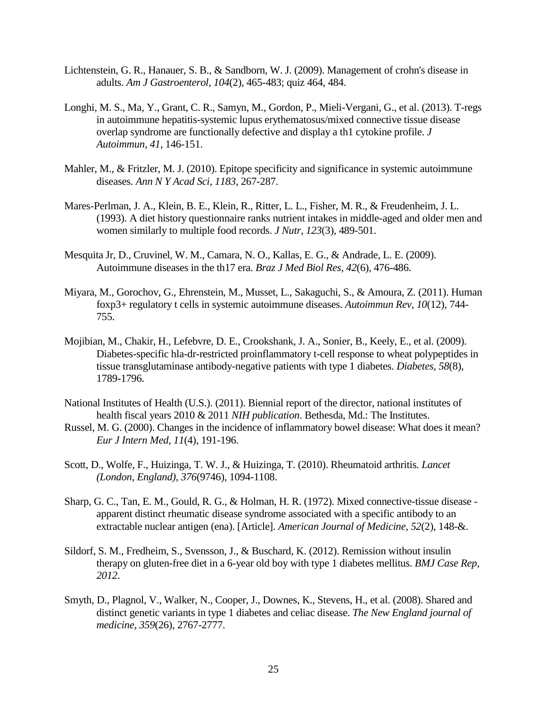- <span id="page-33-1"></span>Lichtenstein, G. R., Hanauer, S. B., & Sandborn, W. J. (2009). Management of crohn's disease in adults. *Am J Gastroenterol, 104*(2), 465-483; quiz 464, 484.
- <span id="page-33-10"></span>Longhi, M. S., Ma, Y., Grant, C. R., Samyn, M., Gordon, P., Mieli-Vergani, G., et al. (2013). T-regs in autoimmune hepatitis-systemic lupus erythematosus/mixed connective tissue disease overlap syndrome are functionally defective and display a th1 cytokine profile. *J Autoimmun, 41*, 146-151.
- <span id="page-33-2"></span>Mahler, M., & Fritzler, M. J. (2010). Epitope specificity and significance in systemic autoimmune diseases. *Ann N Y Acad Sci, 1183*, 267-287.
- <span id="page-33-12"></span>Mares-Perlman, J. A., Klein, B. E., Klein, R., Ritter, L. L., Fisher, M. R., & Freudenheim, J. L. (1993). A diet history questionnaire ranks nutrient intakes in middle-aged and older men and women similarly to multiple food records. *J Nutr, 123*(3), 489-501.
- <span id="page-33-9"></span>Mesquita Jr, D., Cruvinel, W. M., Camara, N. O., Kallas, E. G., & Andrade, L. E. (2009). Autoimmune diseases in the th17 era. *Braz J Med Biol Res, 42*(6), 476-486.
- <span id="page-33-11"></span>Miyara, M., Gorochov, G., Ehrenstein, M., Musset, L., Sakaguchi, S., & Amoura, Z. (2011). Human foxp3+ regulatory t cells in systemic autoimmune diseases. *Autoimmun Rev, 10*(12), 744- 755.
- <span id="page-33-7"></span>Mojibian, M., Chakir, H., Lefebvre, D. E., Crookshank, J. A., Sonier, B., Keely, E., et al. (2009). Diabetes-specific hla-dr-restricted proinflammatory t-cell response to wheat polypeptides in tissue transglutaminase antibody-negative patients with type 1 diabetes. *Diabetes, 58*(8), 1789-1796.
- <span id="page-33-0"></span>National Institutes of Health (U.S.). (2011). Biennial report of the director, national institutes of health fiscal years 2010 & 2011 *NIH publication*. Bethesda, Md.: The Institutes.
- <span id="page-33-6"></span>Russel, M. G. (2000). Changes in the incidence of inflammatory bowel disease: What does it mean? *Eur J Intern Med, 11*(4), 191-196.
- <span id="page-33-3"></span>Scott, D., Wolfe, F., Huizinga, T. W. J., & Huizinga, T. (2010). Rheumatoid arthritis. *Lancet (London, England), 376*(9746), 1094-1108.
- <span id="page-33-4"></span>Sharp, G. C., Tan, E. M., Gould, R. G., & Holman, H. R. (1972). Mixed connective-tissue disease apparent distinct rheumatic disease syndrome associated with a specific antibody to an extractable nuclear antigen (ena). [Article]. *American Journal of Medicine, 52*(2), 148-&.
- <span id="page-33-8"></span>Sildorf, S. M., Fredheim, S., Svensson, J., & Buschard, K. (2012). Remission without insulin therapy on gluten-free diet in a 6-year old boy with type 1 diabetes mellitus. *BMJ Case Rep, 2012*.
- <span id="page-33-5"></span>Smyth, D., Plagnol, V., Walker, N., Cooper, J., Downes, K., Stevens, H., et al. (2008). Shared and distinct genetic variants in type 1 diabetes and celiac disease. *The New England journal of medicine, 359*(26), 2767-2777.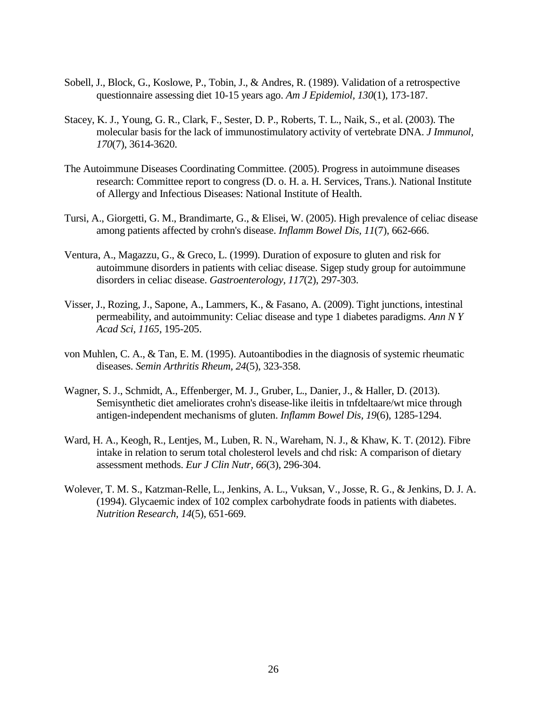- <span id="page-34-4"></span>Sobell, J., Block, G., Koslowe, P., Tobin, J., & Andres, R. (1989). Validation of a retrospective questionnaire assessing diet 10-15 years ago. *Am J Epidemiol, 130*(1), 173-187.
- <span id="page-34-8"></span>Stacey, K. J., Young, G. R., Clark, F., Sester, D. P., Roberts, T. L., Naik, S., et al. (2003). The molecular basis for the lack of immunostimulatory activity of vertebrate DNA. *J Immunol, 170*(7), 3614-3620.
- <span id="page-34-0"></span>The Autoimmune Diseases Coordinating Committee. (2005). Progress in autoimmune diseases research: Committee report to congress (D. o. H. a. H. Services, Trans.). National Institute of Allergy and Infectious Diseases: National Institute of Health.
- <span id="page-34-2"></span>Tursi, A., Giorgetti, G. M., Brandimarte, G., & Elisei, W. (2005). High prevalence of celiac disease among patients affected by crohn's disease. *Inflamm Bowel Dis, 11*(7), 662-666.
- <span id="page-34-1"></span>Ventura, A., Magazzu, G., & Greco, L. (1999). Duration of exposure to gluten and risk for autoimmune disorders in patients with celiac disease. Sigep study group for autoimmune disorders in celiac disease. *Gastroenterology, 117*(2), 297-303.
- <span id="page-34-3"></span>Visser, J., Rozing, J., Sapone, A., Lammers, K., & Fasano, A. (2009). Tight junctions, intestinal permeability, and autoimmunity: Celiac disease and type 1 diabetes paradigms. *Ann N Y Acad Sci, 1165*, 195-205.
- <span id="page-34-7"></span>von Muhlen, C. A., & Tan, E. M. (1995). Autoantibodies in the diagnosis of systemic rheumatic diseases. *Semin Arthritis Rheum, 24*(5), 323-358.
- <span id="page-34-5"></span>Wagner, S. J., Schmidt, A., Effenberger, M. J., Gruber, L., Danier, J., & Haller, D. (2013). Semisynthetic diet ameliorates crohn's disease-like ileitis in tnfdeltaare/wt mice through antigen-independent mechanisms of gluten. *Inflamm Bowel Dis, 19*(6), 1285-1294.
- <span id="page-34-9"></span>Ward, H. A., Keogh, R., Lentjes, M., Luben, R. N., Wareham, N. J., & Khaw, K. T. (2012). Fibre intake in relation to serum total cholesterol levels and chd risk: A comparison of dietary assessment methods. *Eur J Clin Nutr, 66*(3), 296-304.
- <span id="page-34-6"></span>Wolever, T. M. S., Katzman-Relle, L., Jenkins, A. L., Vuksan, V., Josse, R. G., & Jenkins, D. J. A. (1994). Glycaemic index of 102 complex carbohydrate foods in patients with diabetes. *Nutrition Research, 14*(5), 651-669.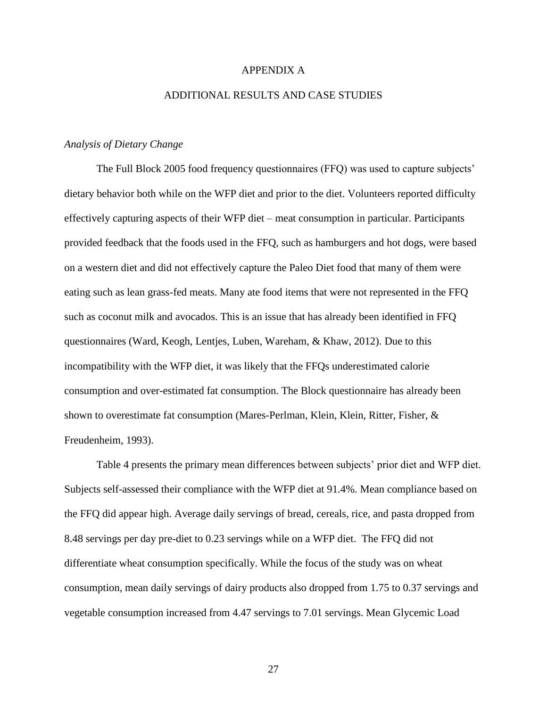# APPENDIX A

## ADDITIONAL RESULTS AND CASE STUDIES

# *Analysis of Dietary Change*

The Full Block 2005 food frequency questionnaires (FFQ) was used to capture subjects' dietary behavior both while on the WFP diet and prior to the diet. Volunteers reported difficulty effectively capturing aspects of their WFP diet – meat consumption in particular. Participants provided feedback that the foods used in the FFQ, such as hamburgers and hot dogs, were based on a western diet and did not effectively capture the Paleo Diet food that many of them were eating such as lean grass-fed meats. Many ate food items that were not represented in the FFQ such as coconut milk and avocados. This is an issue that has already been identified in FFQ questionnaires [\(Ward, Keogh, Lentjes, Luben, Wareham, & Khaw, 2012\)](#page-34-9). Due to this incompatibility with the WFP diet, it was likely that the FFQs underestimated calorie consumption and over-estimated fat consumption. The Block questionnaire has already been shown to overestimate fat consumption [\(Mares-Perlman, Klein, Klein, Ritter, Fisher, &](#page-33-12)  [Freudenheim, 1993\)](#page-33-12).

Table 4 presents the primary mean differences between subjects' prior diet and WFP diet. Subjects self-assessed their compliance with the WFP diet at 91.4%. Mean compliance based on the FFQ did appear high. Average daily servings of bread, cereals, rice, and pasta dropped from 8.48 servings per day pre-diet to 0.23 servings while on a WFP diet. The FFQ did not differentiate wheat consumption specifically. While the focus of the study was on wheat consumption, mean daily servings of dairy products also dropped from 1.75 to 0.37 servings and vegetable consumption increased from 4.47 servings to 7.01 servings. Mean Glycemic Load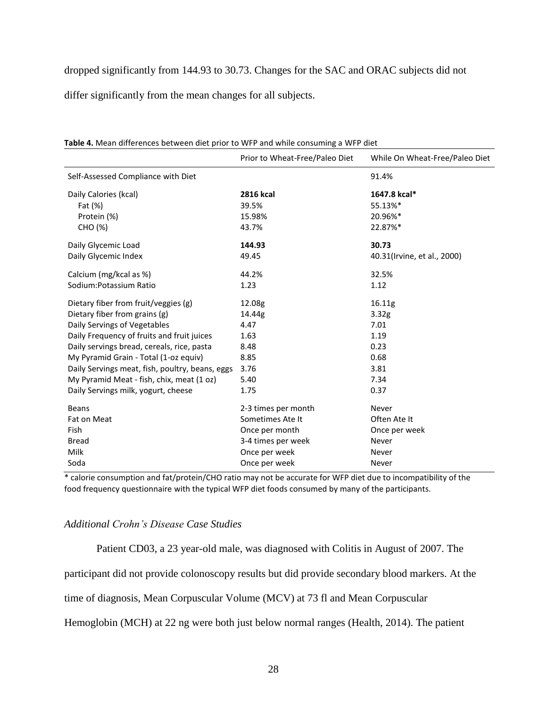dropped significantly from 144.93 to 30.73. Changes for the SAC and ORAC subjects did not

differ significantly from the mean changes for all subjects.

|                                                 | Prior to Wheat-Free/Paleo Diet | While On Wheat-Free/Paleo Diet |
|-------------------------------------------------|--------------------------------|--------------------------------|
| Self-Assessed Compliance with Diet              |                                | 91.4%                          |
| Daily Calories (kcal)                           | <b>2816 kcal</b>               | 1647.8 kcal*                   |
| Fat (%)                                         | 39.5%                          | 55.13%*                        |
| Protein (%)                                     | 15.98%                         | 20.96%*                        |
| CHO (%)                                         | 43.7%                          | 22.87%*                        |
| Daily Glycemic Load                             | 144.93                         | 30.73                          |
| Daily Glycemic Index                            | 49.45                          | 40.31(Irvine, et al., 2000)    |
| Calcium (mg/kcal as %)                          | 44.2%                          | 32.5%                          |
| Sodium: Potassium Ratio                         | 1.23                           | 1.12                           |
| Dietary fiber from fruit/veggies (g)            | 12.08g                         | 16.11g                         |
| Dietary fiber from grains (g)                   | 14.44g                         | 3.32g                          |
| Daily Servings of Vegetables                    | 4.47                           | 7.01                           |
| Daily Frequency of fruits and fruit juices      | 1.63                           | 1.19                           |
| Daily servings bread, cereals, rice, pasta      | 8.48                           | 0.23                           |
| My Pyramid Grain - Total (1-oz equiv)           | 8.85                           | 0.68                           |
| Daily Servings meat, fish, poultry, beans, eggs | 3.76                           | 3.81                           |
| My Pyramid Meat - fish, chix, meat (1 oz)       | 5.40                           | 7.34                           |
| Daily Servings milk, yogurt, cheese             | 1.75                           | 0.37                           |
| <b>Beans</b>                                    | 2-3 times per month            | Never                          |
| Fat on Meat                                     | Sometimes Ate It               | Often Ate It                   |
| <b>Fish</b>                                     | Once per month                 | Once per week                  |
| <b>Bread</b>                                    | 3-4 times per week             | Never                          |
| Milk                                            | Once per week                  | Never                          |
| Soda                                            | Once per week                  | Never                          |

**Table 4.** Mean differences between diet prior to WFP and while consuming a WFP diet

\* calorie consumption and fat/protein/CHO ratio may not be accurate for WFP diet due to incompatibility of the food frequency questionnaire with the typical WFP diet foods consumed by many of the participants.

# *Additional Crohn's Disease Case Studies*

Patient CD03, a 23 year-old male, was diagnosed with Colitis in August of 2007. The

participant did not provide colonoscopy results but did provide secondary blood markers. At the

time of diagnosis, Mean Corpuscular Volume (MCV) at 73 fl and Mean Corpuscular

Hemoglobin (MCH) at 22 ng were both just below normal ranges [\(Health, 2014\)](#page-32-10). The patient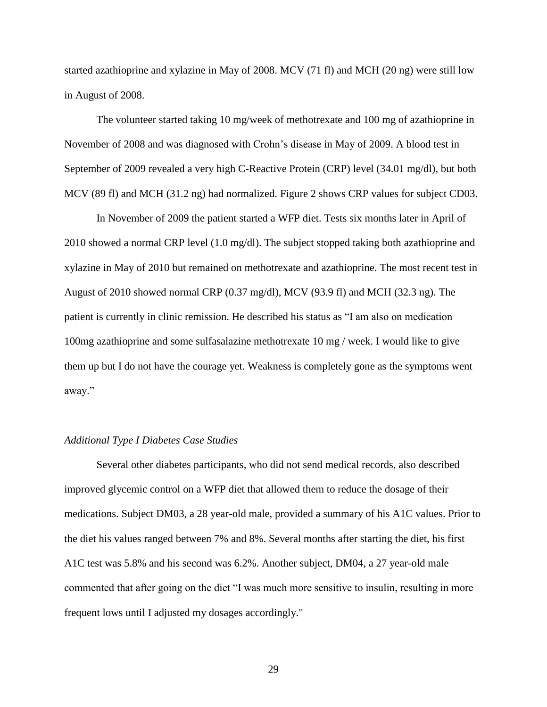started azathioprine and xylazine in May of 2008. MCV (71 fl) and MCH (20 ng) were still low in August of 2008.

The volunteer started taking 10 mg/week of methotrexate and 100 mg of azathioprine in November of 2008 and was diagnosed with Crohn's disease in May of 2009. A blood test in September of 2009 revealed a very high C-Reactive Protein (CRP) level (34.01 mg/dl), but both MCV (89 fl) and MCH (31.2 ng) had normalized. Figure 2 shows CRP values for subject CD03.

In November of 2009 the patient started a WFP diet. Tests six months later in April of 2010 showed a normal CRP level (1.0 mg/dl). The subject stopped taking both azathioprine and xylazine in May of 2010 but remained on methotrexate and azathioprine. The most recent test in August of 2010 showed normal CRP (0.37 mg/dl), MCV (93.9 fl) and MCH (32.3 ng). The patient is currently in clinic remission. He described his status as "I am also on medication 100mg azathioprine and some sulfasalazine methotrexate 10 mg / week. I would like to give them up but I do not have the courage yet. Weakness is completely gone as the symptoms went away."

# *Additional Type I Diabetes Case Studies*

Several other diabetes participants, who did not send medical records, also described improved glycemic control on a WFP diet that allowed them to reduce the dosage of their medications. Subject DM03, a 28 year-old male, provided a summary of his A1C values. Prior to the diet his values ranged between 7% and 8%. Several months after starting the diet, his first A1C test was 5.8% and his second was 6.2%. Another subject, DM04, a 27 year-old male commented that after going on the diet "I was much more sensitive to insulin, resulting in more frequent lows until I adjusted my dosages accordingly."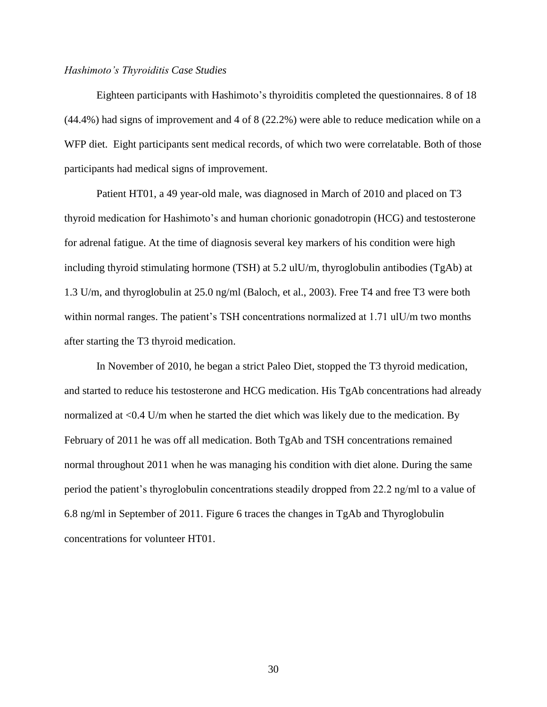#### *Hashimoto's Thyroiditis Case Studies*

Eighteen participants with Hashimoto's thyroiditis completed the questionnaires. 8 of 18 (44.4%) had signs of improvement and 4 of 8 (22.2%) were able to reduce medication while on a WFP diet. Eight participants sent medical records, of which two were correlatable. Both of those participants had medical signs of improvement.

Patient HT01, a 49 year-old male, was diagnosed in March of 2010 and placed on T3 thyroid medication for Hashimoto's and human chorionic gonadotropin (HCG) and testosterone for adrenal fatigue. At the time of diagnosis several key markers of his condition were high including thyroid stimulating hormone (TSH) at 5.2 ulU/m, thyroglobulin antibodies (TgAb) at 1.3 U/m, and thyroglobulin at 25.0 ng/ml [\(Baloch, et al., 2003\)](#page-32-11). Free T4 and free T3 were both within normal ranges. The patient's TSH concentrations normalized at 1.71 ulU/m two months after starting the T3 thyroid medication.

In November of 2010, he began a strict Paleo Diet, stopped the T3 thyroid medication, and started to reduce his testosterone and HCG medication. His TgAb concentrations had already normalized at <0.4 U/m when he started the diet which was likely due to the medication. By February of 2011 he was off all medication. Both TgAb and TSH concentrations remained normal throughout 2011 when he was managing his condition with diet alone. During the same period the patient's thyroglobulin concentrations steadily dropped from 22.2 ng/ml to a value of 6.8 ng/ml in September of 2011. Figure 6 traces the changes in TgAb and Thyroglobulin concentrations for volunteer HT01.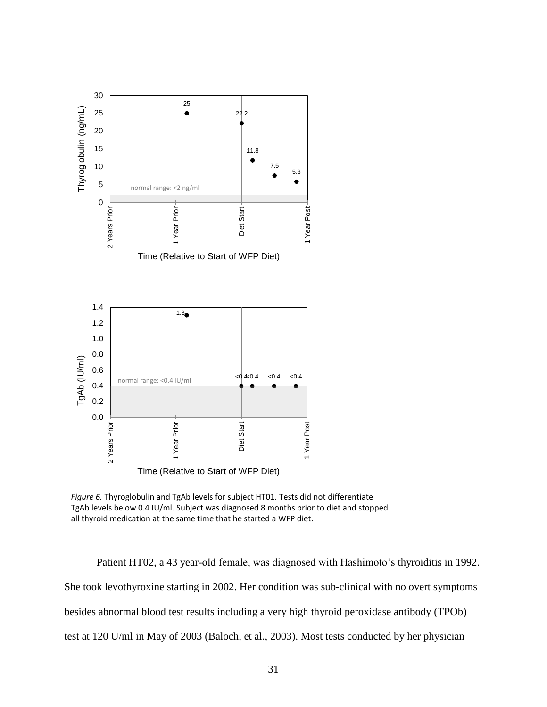

*Figure 6.* Thyroglobulin and TgAb levels for subject HT01. Tests did not differentiate TgAb levels below 0.4 IU/ml. Subject was diagnosed 8 months prior to diet and stopped all thyroid medication at the same time that he started a WFP diet.

Patient HT02, a 43 year-old female, was diagnosed with Hashimoto's thyroiditis in 1992. She took levothyroxine starting in 2002. Her condition was sub-clinical with no overt symptoms besides abnormal blood test results including a very high thyroid peroxidase antibody (TPOb) test at 120 U/ml in May of 2003 [\(Baloch, et al., 2003\)](#page-32-11). Most tests conducted by her physician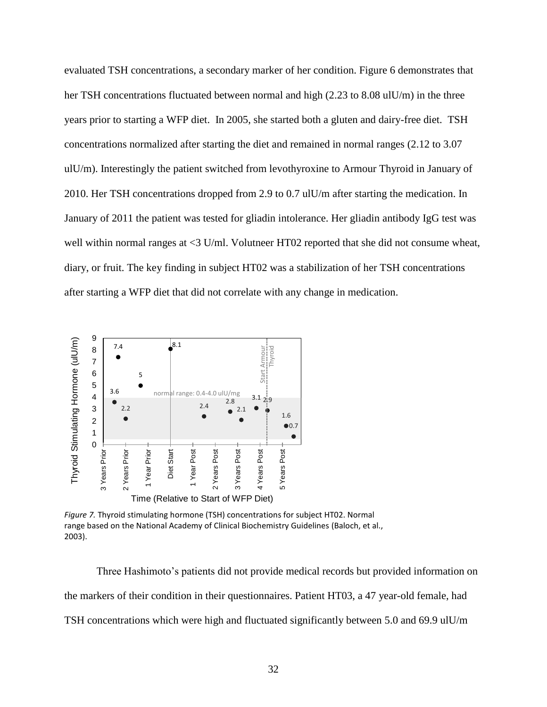evaluated TSH concentrations, a secondary marker of her condition. Figure 6 demonstrates that her TSH concentrations fluctuated between normal and high (2.23 to 8.08 ulU/m) in the three years prior to starting a WFP diet. In 2005, she started both a gluten and dairy-free diet. TSH concentrations normalized after starting the diet and remained in normal ranges (2.12 to 3.07 ulU/m). Interestingly the patient switched from levothyroxine to Armour Thyroid in January of 2010. Her TSH concentrations dropped from 2.9 to 0.7 ulU/m after starting the medication. In January of 2011 the patient was tested for gliadin intolerance. Her gliadin antibody IgG test was well within normal ranges at <3 U/ml. Volutneer HT02 reported that she did not consume wheat, diary, or fruit. The key finding in subject HT02 was a stabilization of her TSH concentrations after starting a WFP diet that did not correlate with any change in medication.



*Figure 7.* Thyroid stimulating hormone (TSH) concentrations for subject HT02. Normal range based on the National Academy of Clinical Biochemistry Guidelines [\(Baloch, et al.,](#page-32-11)  [2003\)](#page-32-11).

Three Hashimoto's patients did not provide medical records but provided information on the markers of their condition in their questionnaires. Patient HT03, a 47 year-old female, had TSH concentrations which were high and fluctuated significantly between 5.0 and 69.9 ulU/m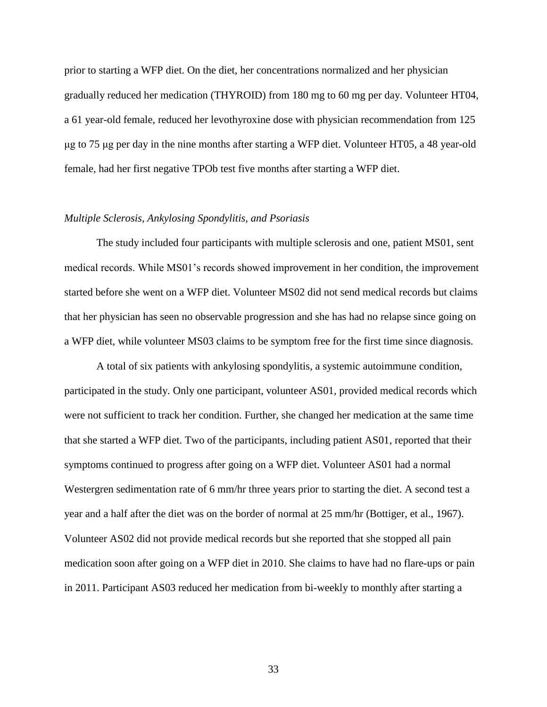prior to starting a WFP diet. On the diet, her concentrations normalized and her physician gradually reduced her medication (THYROID) from 180 mg to 60 mg per day. Volunteer HT04, a 61 year-old female, reduced her levothyroxine dose with physician recommendation from 125 μg to 75 μg per day in the nine months after starting a WFP diet. Volunteer HT05, a 48 year-old female, had her first negative TPOb test five months after starting a WFP diet.

# *Multiple Sclerosis, Ankylosing Spondylitis, and Psoriasis*

The study included four participants with multiple sclerosis and one, patient MS01, sent medical records. While MS01's records showed improvement in her condition, the improvement started before she went on a WFP diet. Volunteer MS02 did not send medical records but claims that her physician has seen no observable progression and she has had no relapse since going on a WFP diet, while volunteer MS03 claims to be symptom free for the first time since diagnosis.

A total of six patients with ankylosing spondylitis, a systemic autoimmune condition, participated in the study. Only one participant, volunteer AS01, provided medical records which were not sufficient to track her condition. Further, she changed her medication at the same time that she started a WFP diet. Two of the participants, including patient AS01, reported that their symptoms continued to progress after going on a WFP diet. Volunteer AS01 had a normal Westergren sedimentation rate of 6 mm/hr three years prior to starting the diet. A second test a year and a half after the diet was on the border of normal at 25 mm/hr [\(Bottiger, et al., 1967\)](#page-32-8). Volunteer AS02 did not provide medical records but she reported that she stopped all pain medication soon after going on a WFP diet in 2010. She claims to have had no flare-ups or pain in 2011. Participant AS03 reduced her medication from bi-weekly to monthly after starting a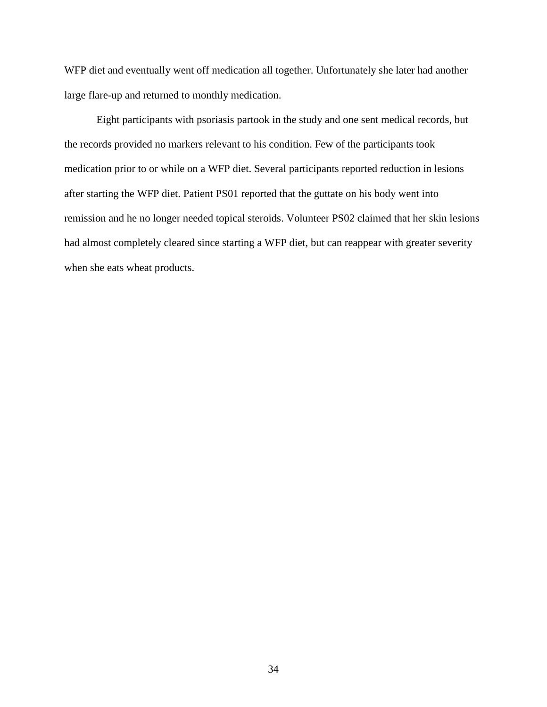WFP diet and eventually went off medication all together. Unfortunately she later had another large flare-up and returned to monthly medication.

Eight participants with psoriasis partook in the study and one sent medical records, but the records provided no markers relevant to his condition. Few of the participants took medication prior to or while on a WFP diet. Several participants reported reduction in lesions after starting the WFP diet. Patient PS01 reported that the guttate on his body went into remission and he no longer needed topical steroids. Volunteer PS02 claimed that her skin lesions had almost completely cleared since starting a WFP diet, but can reappear with greater severity when she eats wheat products.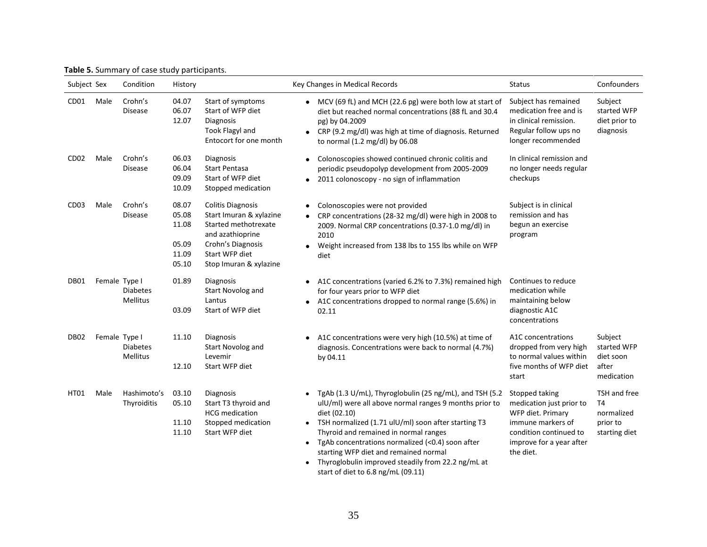|  | Table 5. Summary of case study participants. |
|--|----------------------------------------------|
|  |                                              |

| Subject Sex      |               | Condition                   | History                                            |                                                                                                                                                                  | Key Changes in Medical Records<br><b>Status</b>                                                                                                                                                                                                                                                                                                                                                                                                                                                                                                                                                                              | Confounders                                                          |
|------------------|---------------|-----------------------------|----------------------------------------------------|------------------------------------------------------------------------------------------------------------------------------------------------------------------|------------------------------------------------------------------------------------------------------------------------------------------------------------------------------------------------------------------------------------------------------------------------------------------------------------------------------------------------------------------------------------------------------------------------------------------------------------------------------------------------------------------------------------------------------------------------------------------------------------------------------|----------------------------------------------------------------------|
| CD <sub>01</sub> | Male          | Crohn's<br><b>Disease</b>   | 04.07<br>06.07<br>12.07                            | Start of symptoms<br>Start of WFP diet<br>Diagnosis<br><b>Took Flagyl and</b><br>Entocort for one month                                                          | MCV (69 fL) and MCH (22.6 pg) were both low at start of<br>Subject has remained<br>medication free and is<br>diet but reached normal concentrations (88 fL and 30.4<br>in clinical remission.<br>pg) by 04.2009<br>Regular follow ups no<br>CRP (9.2 mg/dl) was high at time of diagnosis. Returned<br>$\bullet$<br>longer recommended<br>to normal (1.2 mg/dl) by 06.08                                                                                                                                                                                                                                                     | Subject<br>started WFP<br>diet prior to<br>diagnosis                 |
| CD <sub>02</sub> | Male          | Crohn's<br><b>Disease</b>   | 06.03<br>06.04<br>09.09<br>10.09                   | Diagnosis<br><b>Start Pentasa</b><br>Start of WFP diet<br>Stopped medication                                                                                     | In clinical remission and<br>Colonoscopies showed continued chronic colitis and<br>no longer needs regular<br>periodic pseudopolyp development from 2005-2009<br>checkups<br>2011 colonoscopy - no sign of inflammation                                                                                                                                                                                                                                                                                                                                                                                                      |                                                                      |
| CD <sub>03</sub> | Male          | Crohn's<br><b>Disease</b>   | 08.07<br>05.08<br>11.08<br>05.09<br>11.09<br>05.10 | <b>Colitis Diagnosis</b><br>Start Imuran & xylazine<br>Started methotrexate<br>and azathioprine<br>Crohn's Diagnosis<br>Start WFP diet<br>Stop Imuran & xylazine | Subject is in clinical<br>Colonoscopies were not provided<br>$\bullet$<br>remission and has<br>CRP concentrations (28-32 mg/dl) were high in 2008 to<br>begun an exercise<br>2009. Normal CRP concentrations (0.37-1.0 mg/dl) in<br>2010<br>program<br>Weight increased from 138 lbs to 155 lbs while on WFP<br>diet                                                                                                                                                                                                                                                                                                         |                                                                      |
| DB01             | Female Type I | <b>Diabetes</b><br>Mellitus | 01.89<br>03.09                                     | Diagnosis<br>Start Novolog and<br>Lantus<br>Start of WFP diet                                                                                                    | Continues to reduce<br>A1C concentrations (varied 6.2% to 7.3%) remained high<br>$\bullet$<br>medication while<br>for four years prior to WFP diet<br>maintaining below<br>A1C concentrations dropped to normal range (5.6%) in<br>diagnostic A1C<br>02.11<br>concentrations                                                                                                                                                                                                                                                                                                                                                 |                                                                      |
| DB <sub>02</sub> | Female Type I | <b>Diabetes</b><br>Mellitus | 11.10<br>12.10                                     | Diagnosis<br>Start Novolog and<br>Levemir<br>Start WFP diet                                                                                                      | A1C concentrations<br>A1C concentrations were very high (10.5%) at time of<br>dropped from very high<br>diagnosis. Concentrations were back to normal (4.7%)<br>to normal values within<br>by 04.11<br>five months of WFP diet<br>start                                                                                                                                                                                                                                                                                                                                                                                      | Subject<br>started WFP<br>diet soon<br>after<br>medication           |
| HT01             | Male          | Hashimoto's<br>Thyroiditis  | 03.10<br>05.10<br>11.10<br>11.10                   | Diagnosis<br>Start T3 thyroid and<br><b>HCG</b> medication<br>Stopped medication<br>Start WFP diet                                                               | TgAb (1.3 U/mL), Thyroglobulin (25 ng/mL), and TSH (5.2<br>Stopped taking<br>$\bullet$<br>ulU/ml) were all above normal ranges 9 months prior to<br>medication just prior to<br>diet (02.10)<br>WFP diet. Primary<br>TSH normalized (1.71 ulU/ml) soon after starting T3<br>immune markers of<br>$\bullet$<br>Thyroid and remained in normal ranges<br>condition continued to<br>TgAb concentrations normalized (<0.4) soon after<br>improve for a year after<br>$\bullet$<br>starting WFP diet and remained normal<br>the diet.<br>Thyroglobulin improved steadily from 22.2 ng/mL at<br>start of diet to 6.8 ng/mL (09.11) | TSH and free<br><b>T4</b><br>normalized<br>prior to<br>starting diet |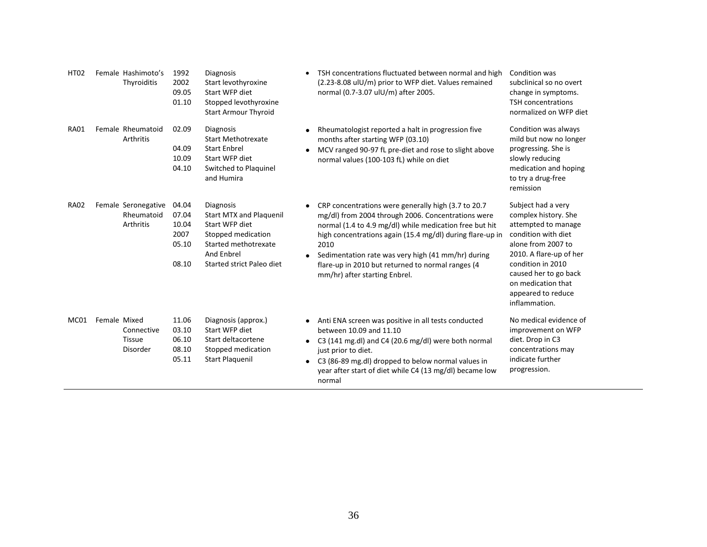| <b>HT02</b> | Female Hashimoto's<br>Thyroiditis                | 1992<br>2002<br>09.05<br>01.10                    | <b>Diagnosis</b><br>Start levothyroxine<br>Start WFP diet<br>Stopped levothyroxine<br><b>Start Armour Thyroid</b>                                             |           | TSH concentrations fluctuated between normal and high<br>(2.23-8.08 uIU/m) prior to WFP diet. Values remained<br>normal (0.7-3.07 ulU/m) after 2005.                                                                                                                                                                                                                                   | Condition was<br>subclinical so no overt<br>change in symptoms.<br><b>TSH concentrations</b><br>normalized on WFP diet                                                                                                                               |
|-------------|--------------------------------------------------|---------------------------------------------------|---------------------------------------------------------------------------------------------------------------------------------------------------------------|-----------|----------------------------------------------------------------------------------------------------------------------------------------------------------------------------------------------------------------------------------------------------------------------------------------------------------------------------------------------------------------------------------------|------------------------------------------------------------------------------------------------------------------------------------------------------------------------------------------------------------------------------------------------------|
| <b>RA01</b> | Female Rheumatoid<br>Arthritis                   | 02.09<br>04.09<br>10.09<br>04.10                  | <b>Diagnosis</b><br><b>Start Methotrexate</b><br><b>Start Enbrel</b><br>Start WFP diet<br>Switched to Plaquinel<br>and Humira                                 | $\bullet$ | Rheumatologist reported a halt in progression five<br>months after starting WFP (03.10)<br>MCV ranged 90-97 fL pre-diet and rose to slight above<br>normal values (100-103 fL) while on diet                                                                                                                                                                                           | Condition was always<br>mild but now no longer<br>progressing. She is<br>slowly reducing<br>medication and hoping<br>to try a drug-free<br>remission                                                                                                 |
| <b>RA02</b> | Female Seronegative<br>Rheumatoid<br>Arthritis   | 04.04<br>07.04<br>10.04<br>2007<br>05.10<br>08.10 | <b>Diagnosis</b><br><b>Start MTX and Plaguenil</b><br>Start WFP diet<br>Stopped medication<br>Started methotrexate<br>And Enbrel<br>Started strict Paleo diet |           | CRP concentrations were generally high (3.7 to 20.7)<br>mg/dl) from 2004 through 2006. Concentrations were<br>normal (1.4 to 4.9 mg/dl) while medication free but hit<br>high concentrations again (15.4 mg/dl) during flare-up in<br>2010<br>Sedimentation rate was very high (41 mm/hr) during<br>flare-up in 2010 but returned to normal ranges (4<br>mm/hr) after starting Enbrel. | Subject had a very<br>complex history. She<br>attempted to manage<br>condition with diet<br>alone from 2007 to<br>2010. A flare-up of her<br>condition in 2010<br>caused her to go back<br>on medication that<br>appeared to reduce<br>inflammation. |
| MC01        | Female Mixed<br>Connective<br>Tissue<br>Disorder | 11.06<br>03.10<br>06.10<br>08.10<br>05.11         | Diagnosis (approx.)<br>Start WFP diet<br>Start deltacortene<br>Stopped medication<br><b>Start Plaquenil</b>                                                   | $\bullet$ | Anti ENA screen was positive in all tests conducted<br>between 10.09 and 11.10<br>C3 (141 mg.dl) and C4 (20.6 mg/dl) were both normal<br>just prior to diet.<br>C3 (86-89 mg.dl) dropped to below normal values in<br>year after start of diet while C4 (13 mg/dl) became low<br>normal                                                                                                | No medical evidence of<br>improvement on WFP<br>diet. Drop in C3<br>concentrations may<br>indicate further<br>progression.                                                                                                                           |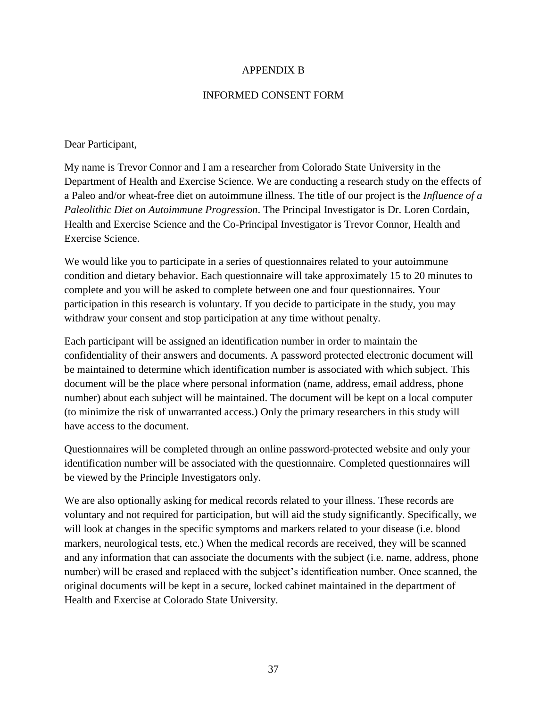# APPENDIX B

# INFORMED CONSENT FORM

# Dear Participant,

My name is Trevor Connor and I am a researcher from Colorado State University in the Department of Health and Exercise Science. We are conducting a research study on the effects of a Paleo and/or wheat-free diet on autoimmune illness. The title of our project is the *Influence of a Paleolithic Diet on Autoimmune Progression*. The Principal Investigator is Dr. Loren Cordain, Health and Exercise Science and the Co-Principal Investigator is Trevor Connor, Health and Exercise Science.

We would like you to participate in a series of questionnaires related to your autoimmune condition and dietary behavior. Each questionnaire will take approximately 15 to 20 minutes to complete and you will be asked to complete between one and four questionnaires. Your participation in this research is voluntary. If you decide to participate in the study, you may withdraw your consent and stop participation at any time without penalty.

Each participant will be assigned an identification number in order to maintain the confidentiality of their answers and documents. A password protected electronic document will be maintained to determine which identification number is associated with which subject. This document will be the place where personal information (name, address, email address, phone number) about each subject will be maintained. The document will be kept on a local computer (to minimize the risk of unwarranted access.) Only the primary researchers in this study will have access to the document.

Questionnaires will be completed through an online password-protected website and only your identification number will be associated with the questionnaire. Completed questionnaires will be viewed by the Principle Investigators only.

We are also optionally asking for medical records related to your illness. These records are voluntary and not required for participation, but will aid the study significantly. Specifically, we will look at changes in the specific symptoms and markers related to your disease (i.e. blood markers, neurological tests, etc.) When the medical records are received, they will be scanned and any information that can associate the documents with the subject (i.e. name, address, phone number) will be erased and replaced with the subject's identification number. Once scanned, the original documents will be kept in a secure, locked cabinet maintained in the department of Health and Exercise at Colorado State University.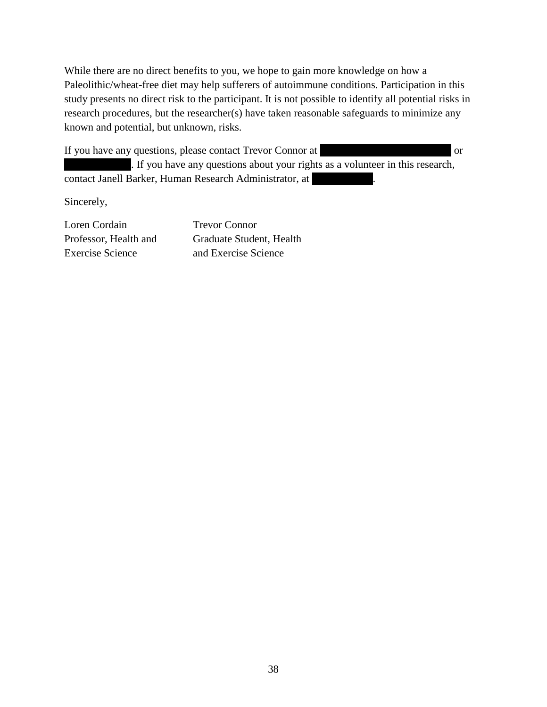While there are no direct benefits to you, we hope to gain more knowledge on how a Paleolithic/wheat-free diet may help sufferers of autoimmune conditions. Participation in this study presents no direct risk to the participant. It is not possible to identify all potential risks in research procedures, but the researcher(s) have taken reasonable safeguards to minimize any known and potential, but unknown, risks.

If you have any questions, please contact Trevor Connor at **Trevor** connormed or

. If you have any questions about your rights as a volunteer in this research, contact Janell Barker, Human Research Administrator, at

Sincerely,

Loren Cordain Trevor Connor Exercise Science and Exercise Science

Professor, Health and Graduate Student, Health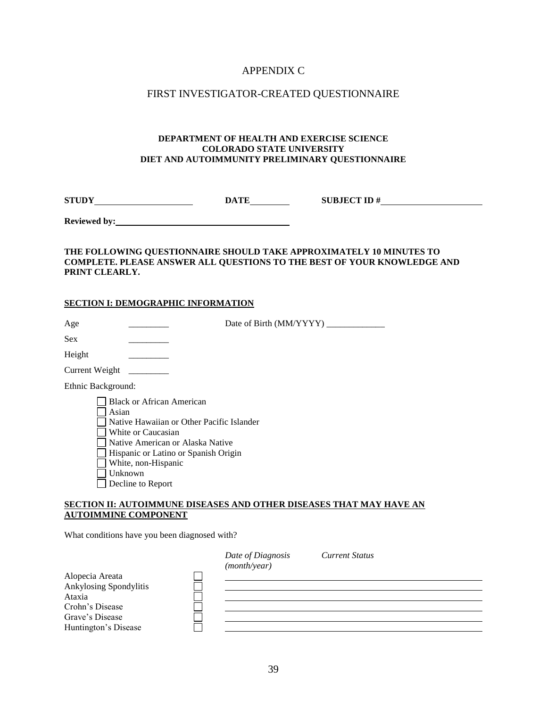# APPENDIX C

# FIRST INVESTIGATOR-CREATED QUESTIONNAIRE

#### **DEPARTMENT OF HEALTH AND EXERCISE SCIENCE COLORADO STATE UNIVERSITY DIET AND AUTOIMMUNITY PRELIMINARY QUESTIONNAIRE**

**STUDY DATE SUBJECT ID #** 

**Reviewed by:**

#### **THE FOLLOWING QUESTIONNAIRE SHOULD TAKE APPROXIMATELY 10 MINUTES TO COMPLETE. PLEASE ANSWER ALL QUESTIONS TO THE BEST OF YOUR KNOWLEDGE AND PRINT CLEARLY.**

#### **SECTION I: DEMOGRAPHIC INFORMATION**

| Age                | Date of Birth (MM/YYYY) _                                                                                                                                                                                         |
|--------------------|-------------------------------------------------------------------------------------------------------------------------------------------------------------------------------------------------------------------|
| <b>Sex</b>         |                                                                                                                                                                                                                   |
| Height             |                                                                                                                                                                                                                   |
| Current Weight     |                                                                                                                                                                                                                   |
| Ethnic Background: |                                                                                                                                                                                                                   |
| Asian              | <b>Black or African American</b><br>Native Hawaiian or Other Pacific Islander<br>White or Caucasian<br>Native American or Alaska Native<br>Hispanic or Latino or Spanish Origin<br>White, non-Hispanic<br>Unknown |

**SECTION II: AUTOIMMUNE DISEASES AND OTHER DISEASES THAT MAY HAVE AN AUTOIMMINE COMPONENT**

What conditions have you been diagnosed with?

Decline to Report

|                        | Date of Diagnosis<br>(month/year) | <b>Current Status</b> |  |
|------------------------|-----------------------------------|-----------------------|--|
| Alopecia Areata        |                                   |                       |  |
| Ankylosing Spondylitis |                                   |                       |  |
| Ataxia                 |                                   |                       |  |
| Crohn's Disease        |                                   |                       |  |
| Grave's Disease        |                                   |                       |  |
| Huntington's Disease   |                                   |                       |  |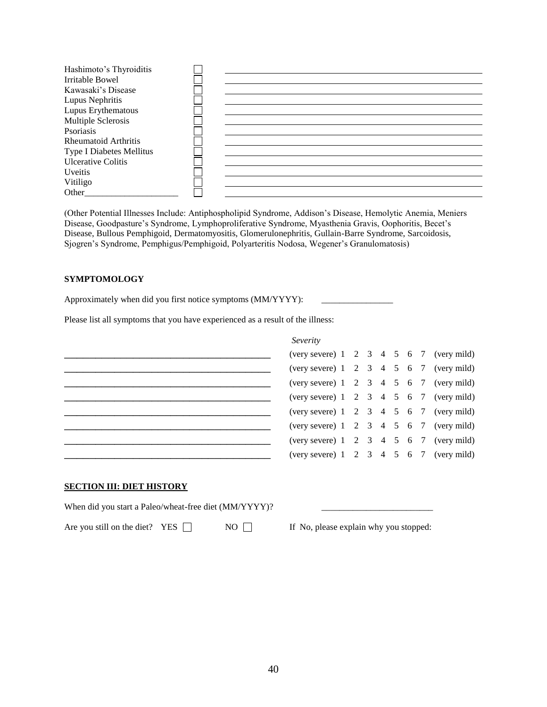| Hashimoto's Thyroiditis         |  |
|---------------------------------|--|
| Irritable Bowel                 |  |
| Kawasaki's Disease              |  |
| Lupus Nephritis                 |  |
| Lupus Erythematous              |  |
| Multiple Sclerosis              |  |
| Psoriasis                       |  |
| <b>Rheumatoid Arthritis</b>     |  |
| <b>Type I Diabetes Mellitus</b> |  |
| <b>Ulcerative Colitis</b>       |  |
| <b>Uveitis</b>                  |  |
| Vitiligo                        |  |
| Other                           |  |

(Other Potential Illnesses Include: Antiphospholipid Syndrome, Addison's Disease, Hemolytic Anemia, Meniers Disease, Goodpasture's Syndrome, Lymphoproliferative Syndrome, Myasthenia Gravis, Oophoritis, Becet's Disease, Bullous Pemphigoid, Dermatomyositis, Glomerulonephritis, Gullain-Barre Syndrome, Sarcoidosis, Sjogren's Syndrome, Pemphigus/Pemphigoid, Polyarteritis Nodosa, Wegener's Granulomatosis)

#### **SYMPTOMOLOGY**

Approximately when did you first notice symptoms (MM/YYYY):

Please list all symptoms that you have experienced as a result of the illness:

| Severity                                              |  |  |  |  |
|-------------------------------------------------------|--|--|--|--|
| (very severe) $1 \t2 \t3 \t4 \t5 \t6 \t7$ (very mild) |  |  |  |  |
| (very severe) $1 \t2 \t3 \t4 \t5 \t6 \t7$ (very mild) |  |  |  |  |
| (very severe) $1 \t2 \t3 \t4 \t5 \t6 \t7$ (very mild) |  |  |  |  |
| (very severe) $1 \t2 \t3 \t4 \t5 \t6 \t7$ (very mild) |  |  |  |  |
| (very severe) $1 \t2 \t3 \t4 \t5 \t6 \t7$ (very mild) |  |  |  |  |
| (very severe) $1 \t2 \t3 \t4 \t5 \t6 \t7$ (very mild) |  |  |  |  |
| (very severe) $1 \t2 \t3 \t4 \t5 \t6 \t7$ (very mild) |  |  |  |  |
| (very severe) $1 \t2 \t3 \t4 \t5 \t6 \t7$ (very mild) |  |  |  |  |
|                                                       |  |  |  |  |
|                                                       |  |  |  |  |

## **SECTION III: DIET HISTORY**

When did you start a Paleo/wheat-free diet (MM/YYYY)?

Are you still on the diet? YES  $\Box$  NO  $\Box$  If No, please explain why you stopped: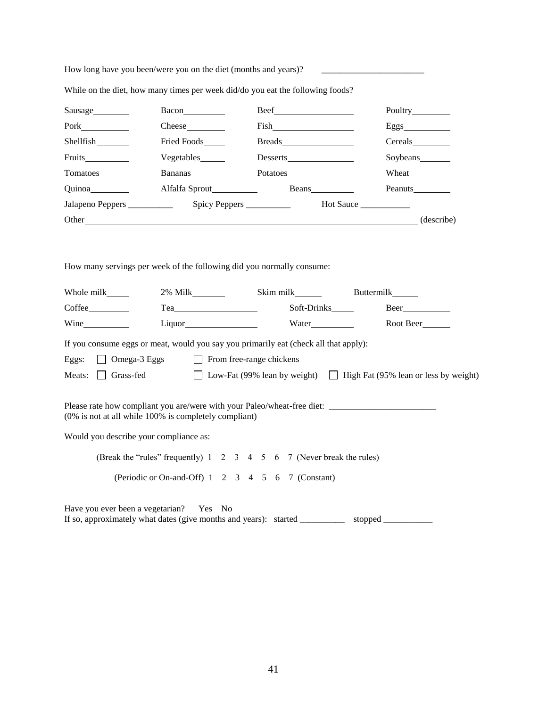| How long have you been/were you on the diet (months and years)? |
|-----------------------------------------------------------------|
|-----------------------------------------------------------------|

| Sausage          |                  |           |                  |
|------------------|------------------|-----------|------------------|
|                  | $\text{Check}$   |           | Eggs             |
| Shellfish        | Fried Foods_____ |           |                  |
|                  | Vegetables______ |           | Soybeans________ |
| Tomatoes________ | Bananas          |           |                  |
| Quinoa           |                  |           |                  |
|                  |                  | Hot Sauce |                  |
|                  |                  |           | (describe)       |

While on the diet, how many times per week did/do you eat the following foods?

How many servings per week of the following did you normally consume:

| Whole milk _______                     |                                                                                                                                                | Skim milk   | <b>Buttermilk</b>                                                    |
|----------------------------------------|------------------------------------------------------------------------------------------------------------------------------------------------|-------------|----------------------------------------------------------------------|
|                                        | $Tea$ and $I = \{$                                                                                                                             | Soft-Drinks | $\text{Beer}\_\text{max}$                                            |
| Wine                                   |                                                                                                                                                |             | Root Beer                                                            |
|                                        | If you consume eggs or meat, would you say you primarily eat (check all that apply):                                                           |             |                                                                      |
|                                        | Eggs: Omega-3 Eggs From free-range chickens                                                                                                    |             |                                                                      |
| Meats: $\vert \vert$                   | Grass-fed                                                                                                                                      |             | Low-Fat (99% lean by weight) [ High Fat (95% lean or less by weight) |
|                                        | $(0\%$ is not at all while 100% is completely compliant)                                                                                       |             |                                                                      |
| Would you describe your compliance as: |                                                                                                                                                |             |                                                                      |
|                                        | (Break the "rules" frequently) 1 2 3 4 5 6 7 (Never break the rules)                                                                           |             |                                                                      |
|                                        | (Periodic or On-and-Off) 1 2 3 4 5 6 7 (Constant)                                                                                              |             |                                                                      |
|                                        | Have you ever been a vegetarian? Yes No<br>If so, approximately what dates (give months and years): started _____________ stopped ____________ |             |                                                                      |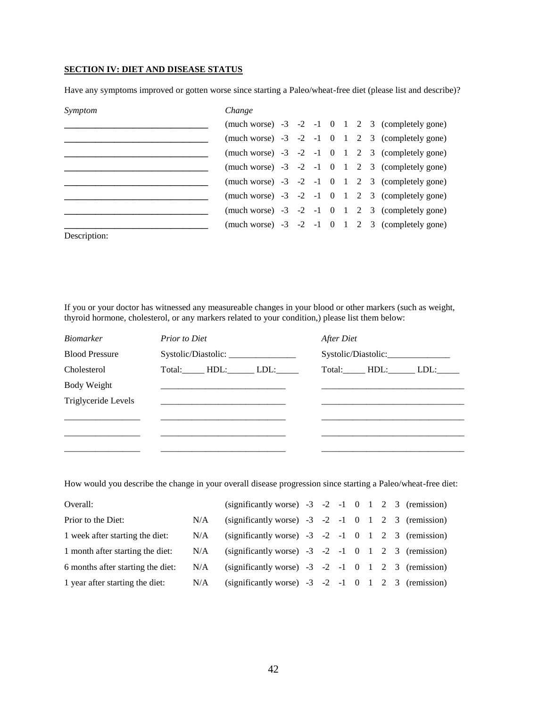## **SECTION IV: DIET AND DISEASE STATUS**

Have any symptoms improved or gotten worse since starting a Paleo/wheat-free diet (please list and describe)?

| Symptom      | Change |  |  |  |                                                       |
|--------------|--------|--|--|--|-------------------------------------------------------|
|              |        |  |  |  | (much worse) $-3$ $-2$ $-1$ 0 1 2 3 (completely gone) |
|              |        |  |  |  | (much worse) $-3$ $-2$ $-1$ 0 1 2 3 (completely gone) |
|              |        |  |  |  | (much worse) $-3$ $-2$ $-1$ 0 1 2 3 (completely gone) |
|              |        |  |  |  | (much worse) $-3$ $-2$ $-1$ 0 1 2 3 (completely gone) |
|              |        |  |  |  | (much worse) $-3$ $-2$ $-1$ 0 1 2 3 (completely gone) |
|              |        |  |  |  | (much worse) $-3$ $-2$ $-1$ 0 1 2 3 (completely gone) |
|              |        |  |  |  | (much worse) $-3$ $-2$ $-1$ 0 1 2 3 (completely gone) |
|              |        |  |  |  | (much worse) $-3$ $-2$ $-1$ 0 1 2 3 (completely gone) |
| Description: |        |  |  |  |                                                       |

If you or your doctor has witnessed any measureable changes in your blood or other markers (such as weight, thyroid hormone, cholesterol, or any markers related to your condition,) please list them below:

| <i>Biomarker</i>      | <b>Prior to Diet</b> |                     |                  | After Diet |  |                  |  |  |  |
|-----------------------|----------------------|---------------------|------------------|------------|--|------------------|--|--|--|
| <b>Blood Pressure</b> |                      | Systolic/Diastolic: |                  |            |  |                  |  |  |  |
| Cholesterol           |                      |                     | Total: HDL: LDL: |            |  | Total: HDL: LDL: |  |  |  |
| Body Weight           |                      |                     |                  |            |  |                  |  |  |  |
| Triglyceride Levels   |                      |                     |                  |            |  |                  |  |  |  |
|                       |                      |                     |                  |            |  |                  |  |  |  |
|                       |                      |                     |                  |            |  |                  |  |  |  |
|                       |                      |                     |                  |            |  |                  |  |  |  |

How would you describe the change in your overall disease progression since starting a Paleo/wheat-free diet:

| N/A |  |  |  |  |                                                                                                                                                                                                                                                                                                                                                                      |
|-----|--|--|--|--|----------------------------------------------------------------------------------------------------------------------------------------------------------------------------------------------------------------------------------------------------------------------------------------------------------------------------------------------------------------------|
| N/A |  |  |  |  |                                                                                                                                                                                                                                                                                                                                                                      |
| N/A |  |  |  |  |                                                                                                                                                                                                                                                                                                                                                                      |
| N/A |  |  |  |  |                                                                                                                                                                                                                                                                                                                                                                      |
| N/A |  |  |  |  |                                                                                                                                                                                                                                                                                                                                                                      |
|     |  |  |  |  | (significantly worse) $-3$ $-2$ $-1$ 0 1 2 3 (remission)<br>(significantly worse) $-3$ $-2$ $-1$ 0 1 2 3 (remission)<br>(significantly worse) $-3$ $-2$ $-1$ 0 1 2 3 (remission)<br>(significantly worse) $-3$ $-2$ $-1$ 0 1 2 3 (remission)<br>(significantly worse) $-3$ $-2$ $-1$ 0 1 2 3 (remission)<br>(significantly worse) $-3$ $-2$ $-1$ 0 1 2 3 (remission) |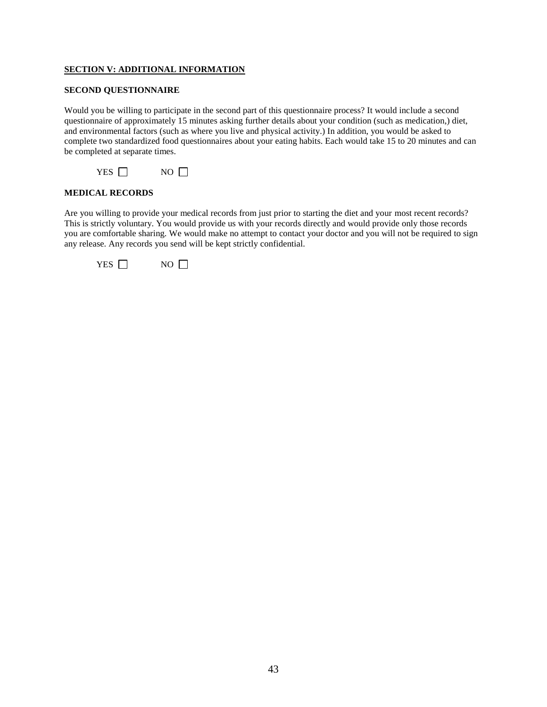#### **SECTION V: ADDITIONAL INFORMATION**

#### **SECOND QUESTIONNAIRE**

Would you be willing to participate in the second part of this questionnaire process? It would include a second questionnaire of approximately 15 minutes asking further details about your condition (such as medication,) diet, and environmental factors (such as where you live and physical activity.) In addition, you would be asked to complete two standardized food questionnaires about your eating habits. Each would take 15 to 20 minutes and can be completed at separate times.



#### **MEDICAL RECORDS**

Are you willing to provide your medical records from just prior to starting the diet and your most recent records? This is strictly voluntary. You would provide us with your records directly and would provide only those records you are comfortable sharing. We would make no attempt to contact your doctor and you will not be required to sign any release. Any records you send will be kept strictly confidential.

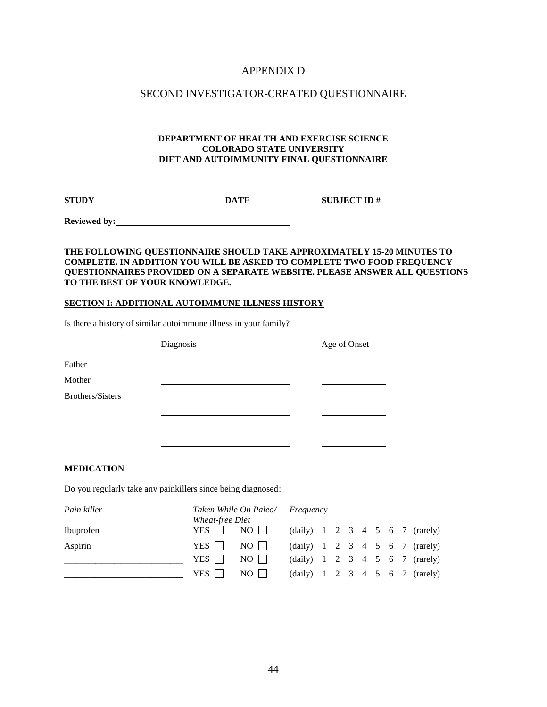# APPENDIX D

# SECOND INVESTIGATOR-CREATED QUESTIONNAIRE

#### **DEPARTMENT OF HEALTH AND EXERCISE SCIENCE COLORADO STATE UNIVERSITY DIET AND AUTOIMMUNITY FINAL QUESTIONNAIRE**

**STUDY DATE SUBJECT ID #** 

**Reviewed by:**

#### **THE FOLLOWING QUESTIONNAIRE SHOULD TAKE APPROXIMATELY 15-20 MINUTES TO COMPLETE. IN ADDITION YOU WILL BE ASKED TO COMPLETE TWO FOOD FREQUENCY QUESTIONNAIRES PROVIDED ON A SEPARATE WEBSITE. PLEASE ANSWER ALL QUESTIONS TO THE BEST OF YOUR KNOWLEDGE.**

#### **SECTION I: ADDITIONAL AUTOIMMUNE ILLNESS HISTORY**

Is there a history of similar autoimmune illness in your family?

|                  | Diagnosis | Age of Onset |  |
|------------------|-----------|--------------|--|
| Father           |           |              |  |
| Mother           |           |              |  |
| Brothers/Sisters |           |              |  |
|                  |           |              |  |
|                  |           |              |  |
|                  |           |              |  |

#### **MEDICATION**

Do you regularly take any painkillers since being diagnosed:

| Pain killer |                        | Taken While On Paleo/ Frequency |  |  |  |  |                                              |
|-------------|------------------------|---------------------------------|--|--|--|--|----------------------------------------------|
|             | <i>Wheat-free Diet</i> |                                 |  |  |  |  |                                              |
| Ibuprofen   | YES $\Box$             | $NO$ $\Box$                     |  |  |  |  | (daily) $1 \t2 \t3 \t4 \t5 \t6 \t7$ (rarely) |
| Aspirin     | YES I I                | $NO$                            |  |  |  |  | (daily) $1 \t2 \t3 \t4 \t5 \t6 \t7$ (rarely) |
|             | YES 1 1                | NO                              |  |  |  |  | (daily) $1 \t2 \t3 \t4 \t5 \t6 \t7$ (rarely) |
|             | YES                    | $NO$                            |  |  |  |  | (daily) $1 \t2 \t3 \t4 \t5 \t6 \t7$ (rarely) |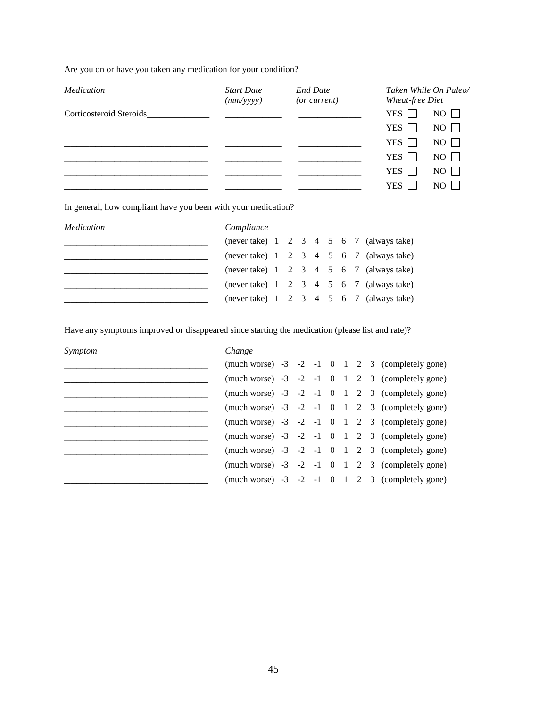Are you on or have you taken any medication for your condition?

| Medication              | <b>Start Date</b><br>(mm/yyyy) | <b>End Date</b><br>(or current) | Taken While On Paleo/<br>Wheat-free Diet |
|-------------------------|--------------------------------|---------------------------------|------------------------------------------|
| Corticosteroid Steroids |                                |                                 | YES<br>$NO$ $\Box$                       |
|                         |                                |                                 | YES $\Box$<br>$NO \Box$                  |
|                         |                                |                                 | $NO$ $\Box$<br>YES $\Box$                |
|                         |                                |                                 | $NO \Box$<br>YES $\Box$                  |
|                         |                                |                                 | $NO \Box$<br>YES $\Box$                  |
|                         |                                |                                 | YES 1 1<br>$NO$ $\vert$ $\vert$          |

In general, how compliant have you been with your medication?

| Medication | Compliance |  |  |  |                                                           |
|------------|------------|--|--|--|-----------------------------------------------------------|
|            |            |  |  |  | (never take) $1 \t2 \t3 \t4 \t5 \t6 \t7$ (always take)    |
|            |            |  |  |  | (never take) $1 \t2 \t3 \t4 \t5 \t6 \t7$ (always take)    |
|            |            |  |  |  | (never take) $1 \t2 \t3 \t4 \t5 \t6 \t7$ (always take)    |
|            |            |  |  |  | (never take) $1 \t2 \t3 \t4 \t5 \t6 \t7 \t (always take)$ |
|            |            |  |  |  | (never take) $1 \t2 \t3 \t4 \t5 \t6 \t7 \t (always take)$ |

Have any symptoms improved or disappeared since starting the medication (please list and rate)?

| Symptom | Change |  |  |  |                                                       |
|---------|--------|--|--|--|-------------------------------------------------------|
|         |        |  |  |  | (much worse) $-3$ $-2$ $-1$ 0 1 2 3 (completely gone) |
|         |        |  |  |  | (much worse) $-3$ $-2$ $-1$ 0 1 2 3 (completely gone) |
|         |        |  |  |  | (much worse) $-3$ $-2$ $-1$ 0 1 2 3 (completely gone) |
|         |        |  |  |  | (much worse) $-3$ $-2$ $-1$ 0 1 2 3 (completely gone) |
|         |        |  |  |  | (much worse) $-3$ $-2$ $-1$ 0 1 2 3 (completely gone) |
|         |        |  |  |  | (much worse) $-3$ $-2$ $-1$ 0 1 2 3 (completely gone) |
|         |        |  |  |  | (much worse) $-3$ $-2$ $-1$ 0 1 2 3 (completely gone) |
|         |        |  |  |  | (much worse) $-3$ $-2$ $-1$ 0 1 2 3 (completely gone) |
|         |        |  |  |  | (much worse) $-3$ $-2$ $-1$ 0 1 2 3 (completely gone) |
|         |        |  |  |  |                                                       |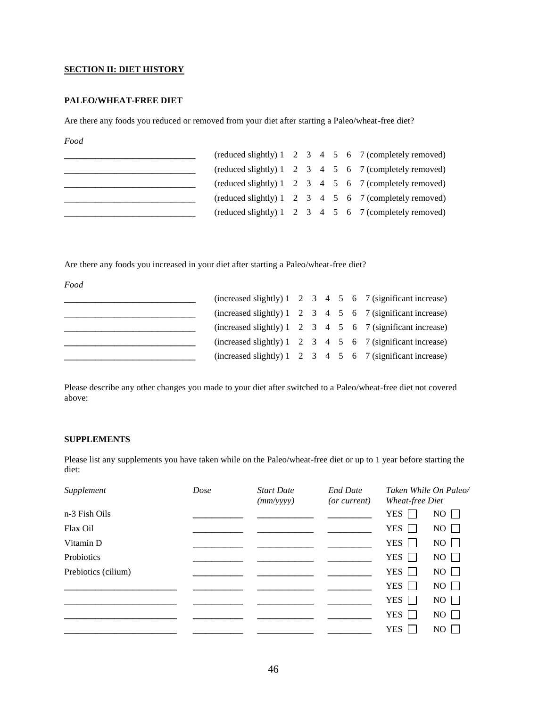#### **SECTION II: DIET HISTORY**

#### **PALEO/WHEAT-FREE DIET**

Are there any foods you reduced or removed from your diet after starting a Paleo/wheat-free diet?

*Food*

|  |  |  | $(\text{reduced slightly})$ 1 2 3 4 5 6 7 $(\text{completely removed})$                     |
|--|--|--|---------------------------------------------------------------------------------------------|
|  |  |  | (reduced slightly) $1 \quad 2 \quad 3 \quad 4 \quad 5 \quad 6 \quad 7$ (completely removed) |
|  |  |  | $(\text{reduced slightly})$ 1 2 3 4 5 6 7 $(\text{completely removed})$                     |
|  |  |  | $(\text{reduced slightly})$ 1 2 3 4 5 6 7 $(\text{completely removed})$                     |
|  |  |  | (reduced slightly) $1 \quad 2 \quad 3 \quad 4 \quad 5 \quad 6 \quad 7$ (completely removed) |

Are there any foods you increased in your diet after starting a Paleo/wheat-free diet?

*Food*

|  |  |  | (increased slightly) $1 \quad 2 \quad 3 \quad 4 \quad 5 \quad 6 \quad 7$ (significant increase) |
|--|--|--|-------------------------------------------------------------------------------------------------|
|  |  |  | (increased slightly) $1 \quad 2 \quad 3 \quad 4 \quad 5 \quad 6 \quad 7$ (significant increase) |
|  |  |  | (increased slightly) $1 \quad 2 \quad 3 \quad 4 \quad 5 \quad 6 \quad 7$ (significant increase) |
|  |  |  | (increased slightly) $1 \quad 2 \quad 3 \quad 4 \quad 5 \quad 6 \quad 7$ (significant increase) |
|  |  |  | (increased slightly) $1 \quad 2 \quad 3 \quad 4 \quad 5 \quad 6 \quad 7$ (significant increase) |

Please describe any other changes you made to your diet after switched to a Paleo/wheat-free diet not covered above:

#### **SUPPLEMENTS**

Please list any supplements you have taken while on the Paleo/wheat-free diet or up to 1 year before starting the diet:

| Supplement          | Dose | <b>Start Date</b><br>(mm/yyyy) | <b>End Date</b><br>( <i>or current</i> ) | <b>Wheat-free Diet</b> | Taken While On Paleo/ |
|---------------------|------|--------------------------------|------------------------------------------|------------------------|-----------------------|
| n-3 Fish Oils       |      |                                |                                          | <b>YES</b>             | $NO$ $\Box$           |
| Flax Oil            |      |                                |                                          | <b>YES</b>             | $NO$ $\Box$           |
| Vitamin D           |      |                                |                                          | <b>YES</b>             | $NO$ $\Box$           |
| Probiotics          |      |                                |                                          | <b>YES</b>             | $NO$ $\Box$           |
| Prebiotics (cilium) |      |                                |                                          | <b>YES</b>             | $NO$ $\Box$           |
|                     |      |                                |                                          | YES $\Box$             | $NO$ $\Box$           |
|                     |      |                                |                                          | <b>YES</b>             | $NO$ $\Box$           |
|                     |      |                                |                                          | <b>YES</b>             | $NO \Box$             |
|                     |      |                                |                                          | <b>YES</b>             | $NO$                  |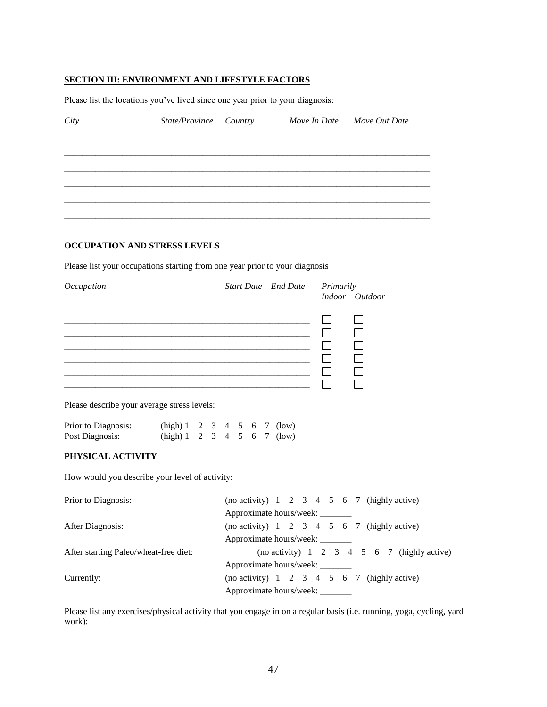# **SECTION III: ENVIRONMENT AND LIFESTYLE FACTORS**

Please list the locations you've lived since one year prior to your diagnosis:

| City                                                                                         | State/Province Country Move In Date Move Out Date |                                 |        |                                                           |
|----------------------------------------------------------------------------------------------|---------------------------------------------------|---------------------------------|--------|-----------------------------------------------------------|
|                                                                                              |                                                   |                                 |        |                                                           |
|                                                                                              |                                                   |                                 |        |                                                           |
|                                                                                              |                                                   |                                 |        |                                                           |
|                                                                                              |                                                   |                                 |        |                                                           |
| OCCUPATION AND STRESS LEVELS                                                                 |                                                   |                                 |        |                                                           |
| Please list your occupations starting from one year prior to your diagnosis                  |                                                   |                                 |        |                                                           |
| Occupation                                                                                   |                                                   | Start Date End Date Primarily   |        | Indoor Outdoor                                            |
|                                                                                              |                                                   |                                 |        |                                                           |
| Please describe your average stress levels:                                                  |                                                   |                                 | $\Box$ |                                                           |
| Prior to Diagnosis: (high) 1 2 3 4 5 6 7 (low)<br>Post Diagnosis: (high) 1 2 3 4 5 6 7 (low) |                                                   |                                 |        |                                                           |
| PHYSICAL ACTIVITY                                                                            |                                                   |                                 |        |                                                           |
| How would you describe your level of activity:                                               |                                                   |                                 |        |                                                           |
| Prior to Diagnosis:                                                                          |                                                   | Approximate hours/week: _____   |        | (no activity) $1 \t2 \t3 \t4 \t5 \t6 \t7$ (highly active) |
| After Diagnosis:                                                                             |                                                   | Approximate hours/week: _______ |        | (no activity) $1 \t2 \t3 \t4 \t5 \t6 \t7$ (highly active) |
| After starting Paleo/wheat-free diet:                                                        |                                                   | Approximate hours/week: _______ |        | (no activity) $1 \t2 \t3 \t4 \t5 \t6 \t7$ (highly active) |
| Currently:                                                                                   |                                                   | Approximate hours/week: ______  |        | (no activity) $1 \t2 \t3 \t4 \t5 \t6 \t7$ (highly active) |

Please list any exercises/physical activity that you engage in on a regular basis (i.e. running, yoga, cycling, yard work):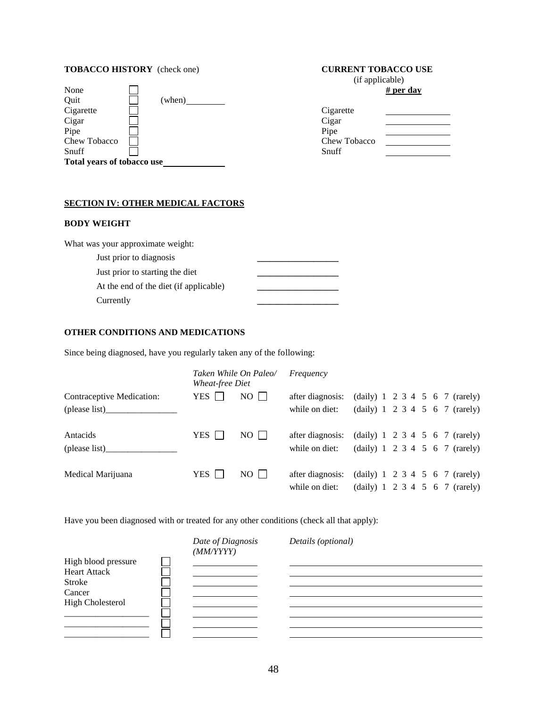# **TOBACCO HISTORY** (check one) **CURRENT TOBACCO USE**

|        | $\sim$ $\sim$ $\sim$ $\sim$ $\sim$ $\sim$ $\sim$ $\sim$ |
|--------|---------------------------------------------------------|
|        |                                                         |
| (when) |                                                         |
|        | Cigarette                                               |
|        | Cigar                                                   |
|        | Pipe                                                    |
|        | Chew Tobacco                                            |
|        | Snuff                                                   |
|        |                                                         |
|        | Total years of tobacco use                              |

# (if applicable)

# # per day

| Cigarette    |  |
|--------------|--|
| Cigar        |  |
| Pipe         |  |
| Chew Tobacco |  |
| Snuff        |  |

### **SECTION IV: OTHER MEDICAL FACTORS**

# **BODY WEIGHT**

| What was your approximate weight:      |  |
|----------------------------------------|--|
| Just prior to diagnosis                |  |
| Just prior to starting the diet        |  |
| At the end of the diet (if applicable) |  |
| Currently                              |  |

# **OTHER CONDITIONS AND MEDICATIONS**

Since being diagnosed, have you regularly taken any of the following:

|                           | Taken While On Paleo/<br>Wheat-free Diet |      | Frequency        |  |  |  |                                              |
|---------------------------|------------------------------------------|------|------------------|--|--|--|----------------------------------------------|
| Contraceptive Medication: | YES $\Box$                               | $NO$ | after diagnosis: |  |  |  | (daily) $1 \t2 \t3 \t4 \t5 \t6 \t7$ (rarely) |
|                           |                                          |      | while on diet:   |  |  |  | (daily) $1 \t2 \t3 \t4 \t5 \t6 \t7$ (rarely) |
| Antacids                  | <b>YES</b>                               | $NO$ | after diagnosis: |  |  |  | (daily) $1 \t2 \t3 \t4 \t5 \t6 \t7$ (rarely) |
| (please list)             |                                          |      | while on diet:   |  |  |  | (daily) $1 \t2 \t3 \t4 \t5 \t6 \t7$ (rarely) |
| Medical Marijuana         | YES                                      | $NO$ | after diagnosis: |  |  |  | (daily) $1 \t2 \t3 \t4 \t5 \t6 \t7$ (rarely) |
|                           |                                          |      | while on diet:   |  |  |  | (daily) 1 2 3 4 5 6 7 (rarely)               |

Have you been diagnosed with or treated for any other conditions (check all that apply):

|                                            | Date of Diagnosis<br>(MM/YYYY) | Details (optional) |  |
|--------------------------------------------|--------------------------------|--------------------|--|
| High blood pressure<br><b>Heart Attack</b> |                                |                    |  |
| <b>Stroke</b><br>Cancer                    |                                |                    |  |
| <b>High Cholesterol</b>                    |                                |                    |  |
|                                            |                                |                    |  |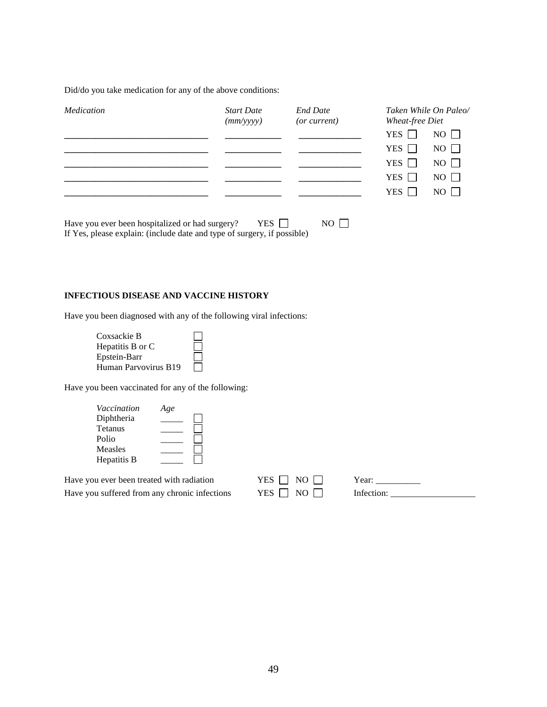Did/do you take medication for any of the above conditions:

| Medication | <b>Start Date</b><br>(mm/yyyy) | <b>End Date</b><br>(or current) | Taken While On Paleo/<br><b>Wheat-free Diet</b> |  |
|------------|--------------------------------|---------------------------------|-------------------------------------------------|--|
|            |                                |                                 | $NO \square$<br>YES $\Box$                      |  |
|            |                                |                                 | $NO \square$<br>YES $\Box$                      |  |
|            |                                |                                 | $NO \Box$<br>YES $\Box$                         |  |
|            |                                |                                 | $NO \Box$<br>YES $\Box$                         |  |
|            |                                |                                 | $NO$ $\Box$<br>YES 1                            |  |

Have you ever been hospitalized or had surgery? YES  $\Box$  NO  $\Box$ If Yes, please explain: (include date and type of surgery, if possible)

#### **INFECTIOUS DISEASE AND VACCINE HISTORY**

Have you been diagnosed with any of the following viral infections:

| Coxsackie B          |  |
|----------------------|--|
| Hepatitis B or C     |  |
| Epstein-Barr         |  |
| Human Parvovirus B19 |  |

Have you been vaccinated for any of the following:

| Vaccination | Age |  |
|-------------|-----|--|
| Diphtheria  |     |  |
| Tetanus     |     |  |
| Polio       |     |  |
| Measles     |     |  |
| Hepatitis B |     |  |

| Have you ever been treated with radiation     | YES $\Box$ NO $\Box$ | Year:      |
|-----------------------------------------------|----------------------|------------|
| Have you suffered from any chronic infections | YES $\Box$ NO $\Box$ | Infection: |

Have you suffered from any chronic infections YES NO Infection: \_\_\_\_\_\_\_\_\_\_\_\_\_\_\_\_\_\_\_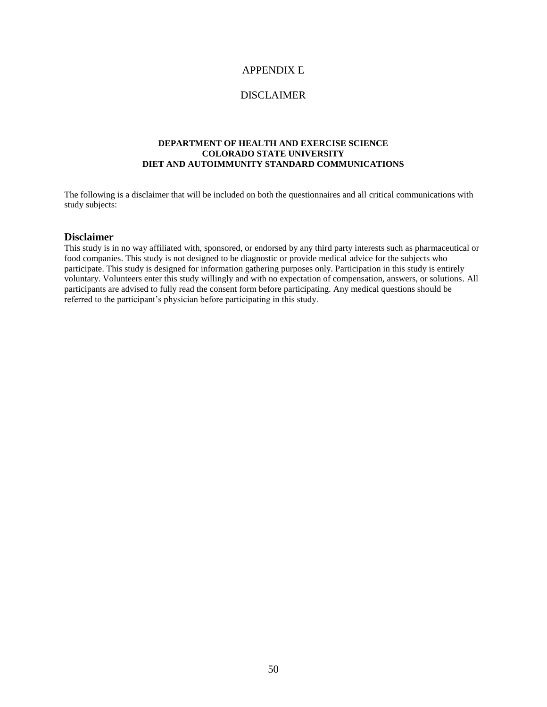# APPENDIX E

# DISCLAIMER

#### **DEPARTMENT OF HEALTH AND EXERCISE SCIENCE COLORADO STATE UNIVERSITY DIET AND AUTOIMMUNITY STANDARD COMMUNICATIONS**

The following is a disclaimer that will be included on both the questionnaires and all critical communications with study subjects:

#### **Disclaimer**

This study is in no way affiliated with, sponsored, or endorsed by any third party interests such as pharmaceutical or food companies. This study is not designed to be diagnostic or provide medical advice for the subjects who participate. This study is designed for information gathering purposes only. Participation in this study is entirely voluntary. Volunteers enter this study willingly and with no expectation of compensation, answers, or solutions. All participants are advised to fully read the consent form before participating. Any medical questions should be referred to the participant's physician before participating in this study.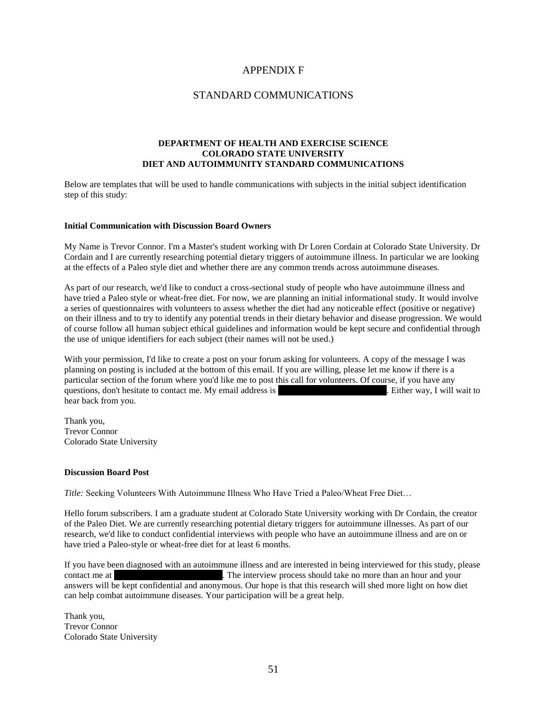# APPENDIX F

# STANDARD COMMUNICATIONS

#### **DEPARTMENT OF HEALTH AND EXERCISE SCIENCE COLORADO STATE UNIVERSITY DIET AND AUTOIMMUNITY STANDARD COMMUNICATIONS**

Below are templates that will be used to handle communications with subjects in the initial subject identification step of this study:

#### **Initial Communication with Discussion Board Owners**

My Name is Trevor Connor. I'm a Master's student working with Dr Loren Cordain at Colorado State University. Dr Cordain and I are currently researching potential dietary triggers of autoimmune illness. In particular we are looking at the effects of a Paleo style diet and whether there are any common trends across autoimmune diseases.

As part of our research, we'd like to conduct a cross-sectional study of people who have autoimmune illness and have tried a Paleo style or wheat-free diet. For now, we are planning an initial informational study. It would involve a series of questionnaires with volunteers to assess whether the diet had any noticeable effect (positive or negative) on their illness and to try to identify any potential trends in their dietary behavior and disease progression. We would of course follow all human subject ethical guidelines and information would be kept secure and confidential through the use of unique identifiers for each subject (their names will not be used.)

With your permission, I'd like to create a post on your forum asking for volunteers. A copy of the message I was planning on posting is included at the bottom of this email. If you are willing, please let me know if there is a particular section of the forum where you'd like me to post this call for volunteers. Of course, if you have any questions, don't hesitate to contact me. My email address is Trevor. Connor was I will wait to  $\alpha$ hear back from you.

Thank you, Trevor Connor Colorado State University

#### **Discussion Board Post**

*Title:* Seeking Volunteers With Autoimmune Illness Who Have Tried a Paleo/Wheat Free Diet…

Hello forum subscribers. I am a graduate student at Colorado State University working with Dr Cordain, the creator of the Paleo Diet. We are currently researching potential dietary triggers for autoimmune illnesses. As part of our research, we'd like to conduct confidential interviews with people who have an autoimmune illness and are on or have tried a Paleo-style or wheat-free diet for at least 6 months.

If you have been diagnosed with an autoimmune illness and are interested in being interviewed for this study, please contact me at Trevor. The interview process should take no more than an hour and your answers will be kept confidential and anonymous. Our hope is that this research will shed more light on how diet can help combat autoimmune diseases. Your participation will be a great help.

Thank you, Trevor Connor Colorado State University